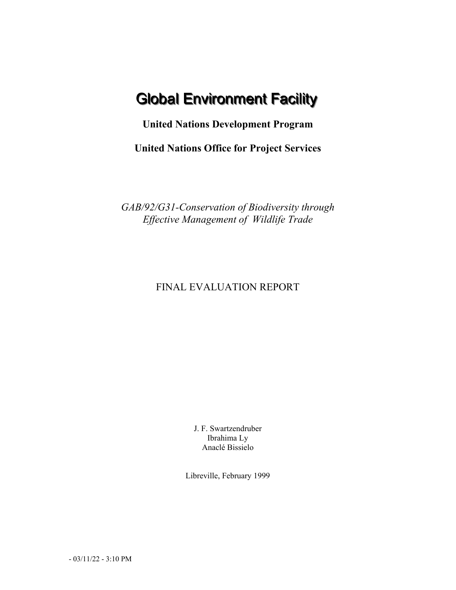# **Global Environment Facility**

**United Nations Development Program**

**United Nations Office for Project Services**

*GAB/92/G31-Conservation of Biodiversity through Effective Management of Wildlife Trade*

# FINAL EVALUATION REPORT

J. F. Swartzendruber Ibrahima Ly Anaclé Bissielo

Libreville, February 1999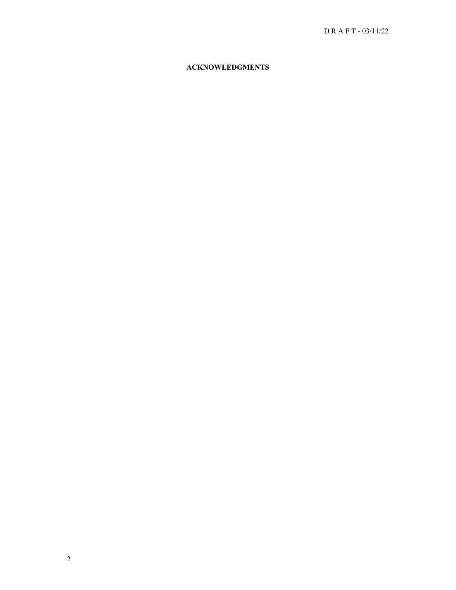## **ACKNOWLEDGMENTS**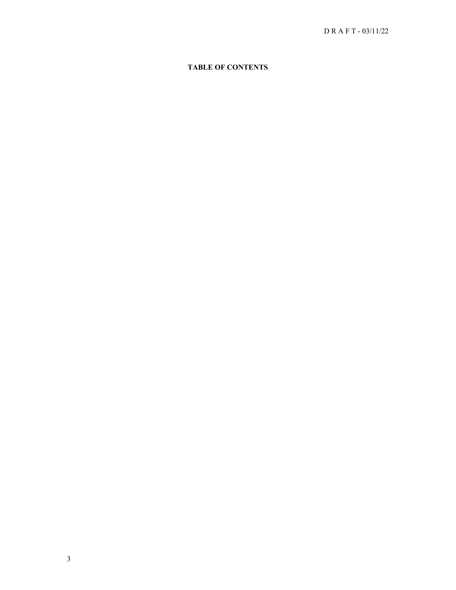## **TABLE OF CONTENTS**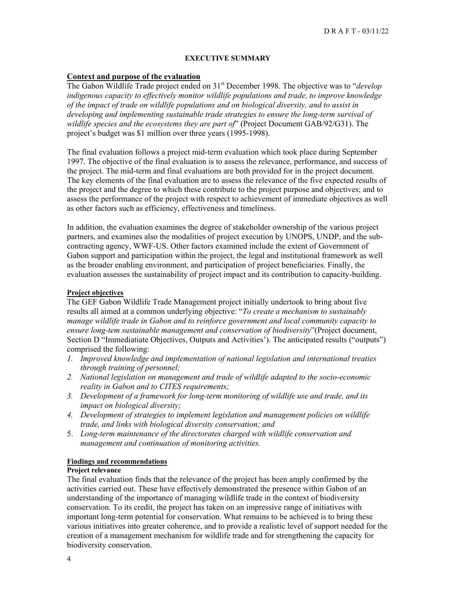#### **EXECUTIVE SUMMARY**

#### **Context and purpose of the evaluation**

The Gabon Wildlife Trade project ended on 31<sup>st</sup> December 1998. The objective was to "*develop indigenous capacity to effectively monitor wildlife populations and trade, to improve knowledge of the impact of trade on wildlife populations and on biological diversity, and to assist in developing and implementing sustainable trade strategies to ensure the long-term survival of wildlife species and the ecosystems they are part of*" (Project Document GAB/92/G31). The project's budget was \$1 million over three years (1995-1998).

The final evaluation follows a project mid-term evaluation which took place during September 1997. The objective of the final evaluation is to assess the relevance, performance, and success of the project. The mid-term and final evaluations are both provided for in the project document. The key elements of the final evaluation are to assess the relevance of the five expected results of the project and the degree to which these contribute to the project purpose and objectives; and to assess the performance of the project with respect to achievement of immediate objectives as well as other factors such as efficiency, effectiveness and timeliness.

In addition, the evaluation examines the degree of stakeholder ownership of the various project partners, and examines also the modalities of project execution by UNOPS, UNDP, and the subcontracting agency, WWF-US. Other factors examined include the extent of Government of Gabon support and participation within the project, the legal and institutional framework as well as the broader enabling environment, and participation of project beneficiaries. Finally, the evaluation assesses the sustainability of project impact and its contribution to capacity-building.

#### **Project objectives**

The GEF Gabon Wildlife Trade Management project initially undertook to bring about five results all aimed at a common underlying objective: "*To create a mechanism to sustainably manage wildlife trade in Gabon and to reinforce government and local community capacity to ensure long-tem sustainable management and conservation of biodiversity*"(Project document, Section D "Immediatiate Objectives, Outputs and Activities'). The anticipated results ("outputs") comprised the following:

- *1. Improved knowledge and implementation of national legislation and international treaties through training of personnel;*
- *2. National legislation on management and trade of wildlife adapted to the socio-economic reality in Gabon and to CITES requirements;*
- *3. Development of a framework for long-term monitoring of wildlife use and trade, and its impact on biological diversity;*
- *4. Development of strategies to implement legislation and management policies on wildlife trade, and links with biological diversity conservation; and*
- 5. *Long-term maintenance of the directorates charged with wildlife conservation and management and continuation of monitoring activities.*

#### **Findings and recommendations**

#### **Project relevance**

The final evaluation finds that the relevance of the project has been amply confirmed by the activities carried out. These have effectively demonstrated the presence within Gabon of an understanding of the importance of managing wildlife trade in the context of biodiversity conservation. To its credit, the project has taken on an impressive range of initiatives with important long-term potential for conservation. What remains to be achieved is to bring these various initiatives into greater coherence, and to provide a realistic level of support needed for the creation of a management mechanism for wildlife trade and for strengthening the capacity for biodiversity conservation.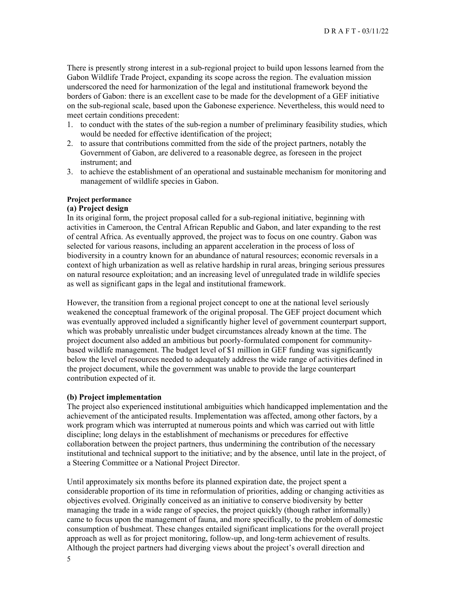There is presently strong interest in a sub-regional project to build upon lessons learned from the Gabon Wildlife Trade Project, expanding its scope across the region. The evaluation mission underscored the need for harmonization of the legal and institutional framework beyond the borders of Gabon: there is an excellent case to be made for the development of a GEF initiative on the sub-regional scale, based upon the Gabonese experience. Nevertheless, this would need to meet certain conditions precedent:

- 1. to conduct with the states of the sub-region a number of preliminary feasibility studies, which would be needed for effective identification of the project;
- 2. to assure that contributions committed from the side of the project partners, notably the Government of Gabon, are delivered to a reasonable degree, as foreseen in the project instrument; and
- 3. to achieve the establishment of an operational and sustainable mechanism for monitoring and management of wildlife species in Gabon.

## **Project performance**

#### **(a) Project design**

In its original form, the project proposal called for a sub-regional initiative, beginning with activities in Cameroon, the Central African Republic and Gabon, and later expanding to the rest of central Africa. As eventually approved, the project was to focus on one country. Gabon was selected for various reasons, including an apparent acceleration in the process of loss of biodiversity in a country known for an abundance of natural resources; economic reversals in a context of high urbanization as well as relative hardship in rural areas, bringing serious pressures on natural resource exploitation; and an increasing level of unregulated trade in wildlife species as well as significant gaps in the legal and institutional framework.

However, the transition from a regional project concept to one at the national level seriously weakened the conceptual framework of the original proposal. The GEF project document which was eventually approved included a significantly higher level of government counterpart support, which was probably unrealistic under budget circumstances already known at the time. The project document also added an ambitious but poorly-formulated component for communitybased wildlife management. The budget level of \$1 million in GEF funding was significantly below the level of resources needed to adequately address the wide range of activities defined in the project document, while the government was unable to provide the large counterpart contribution expected of it.

#### **(b) Project implementation**

The project also experienced institutional ambiguities which handicapped implementation and the achievement of the anticipated results. Implementation was affected, among other factors, by a work program which was interrupted at numerous points and which was carried out with little discipline; long delays in the establishment of mechanisms or precedures for effective collaboration between the project partners, thus undermining the contribution of the necessary institutional and technical support to the initiative; and by the absence, until late in the project, of a Steering Committee or a National Project Director.

Until approximately six months before its planned expiration date, the project spent a considerable proportion of its time in reformulation of priorities, adding or changing activities as objectives evolved. Originally conceived as an initiative to conserve biodiversity by better managing the trade in a wide range of species, the project quickly (though rather informally) came to focus upon the management of fauna, and more specifically, to the problem of domestic consumption of bushmeat. These changes entailed significant implications for the overall project approach as well as for project monitoring, follow-up, and long-term achievement of results. Although the project partners had diverging views about the project's overall direction and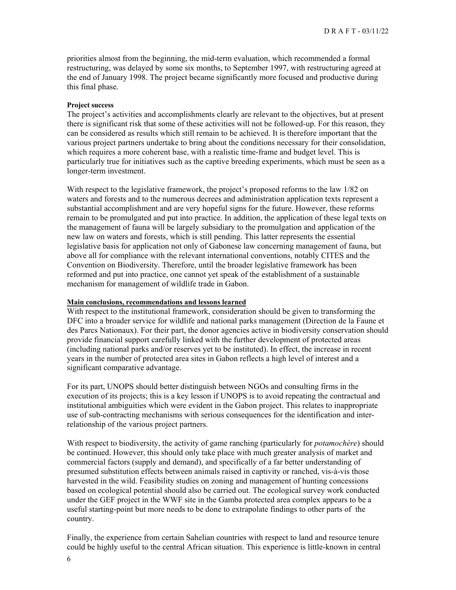priorities almost from the beginning, the mid-term evaluation, which recommended a formal restructuring, was delayed by some six months, to September 1997, with restructuring agreed at the end of January 1998. The project became significantly more focused and productive during this final phase.

#### **Project success**

The project's activities and accomplishments clearly are relevant to the objectives, but at present there is significant risk that some of these activities will not be followed-up. For this reason, they can be considered as results which still remain to be achieved. It is therefore important that the various project partners undertake to bring about the conditions necessary for their consolidation, which requires a more coherent base, with a realistic time-frame and budget level. This is particularly true for initiatives such as the captive breeding experiments, which must be seen as a longer-term investment.

With respect to the legislative framework, the project's proposed reforms to the law 1/82 on waters and forests and to the numerous decrees and administration application texts represent a substantial accomplishment and are very hopeful signs for the future. However, these reforms remain to be promulgated and put into practice. In addition, the application of these legal texts on the management of fauna will be largely subsidiary to the promulgation and application of the new law on waters and forests, which is still pending. This latter represents the essential legislative basis for application not only of Gabonese law concerning management of fauna, but above all for compliance with the relevant international conventions, notably CITES and the Convention on Biodiversity. Therefore, until the broader legislative framework has been reformed and put into practice, one cannot yet speak of the establishment of a sustainable mechanism for management of wildlife trade in Gabon.

#### **Main conclusions, recommendations and lessons learned**

With respect to the institutional framework, consideration should be given to transforming the DFC into a broader service for wildlife and national parks management (Direction de la Faune et des Parcs Nationaux). For their part, the donor agencies active in biodiversity conservation should provide financial support carefully linked with the further development of protected areas (including national parks and/or reserves yet to be instituted). In effect, the increase in recent years in the number of protected area sites in Gabon reflects a high level of interest and a significant comparative advantage.

For its part, UNOPS should better distinguish between NGOs and consulting firms in the execution of its projects; this is a key lesson if UNOPS is to avoid repeating the contractual and institutional ambiguities which were evident in the Gabon project. This relates to inappropriate use of sub-contracting mechanisms with serious consequences for the identification and interrelationship of the various project partners.

With respect to biodiversity, the activity of game ranching (particularly for *potamochère*) should be continued. However, this should only take place with much greater analysis of market and commercial factors (supply and demand), and specifically of a far better understanding of presumed substitution effects between animals raised in captivity or ranched, vis-à-vis those harvested in the wild. Feasibility studies on zoning and management of hunting concessions based on ecological potential should also be carried out. The ecological survey work conducted under the GEF project in the WWF site in the Gamba protected area complex appears to be a useful starting-point but more needs to be done to extrapolate findings to other parts of the country.

Finally, the experience from certain Sahelian countries with respect to land and resource tenure could be highly useful to the central African situation. This experience is little-known in central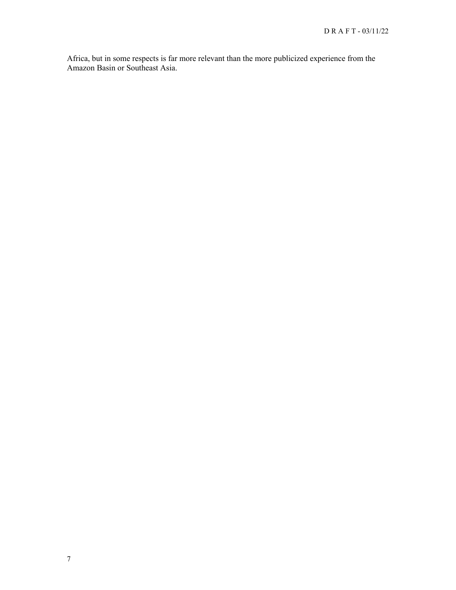Africa, but in some respects is far more relevant than the more publicized experience from the Amazon Basin or Southeast Asia.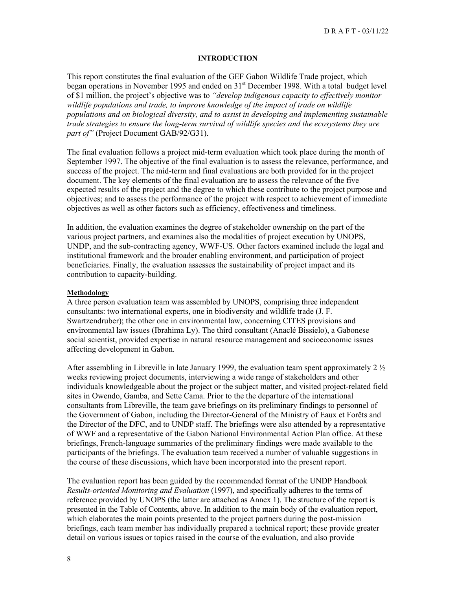#### **INTRODUCTION**

This report constitutes the final evaluation of the GEF Gabon Wildlife Trade project, which began operations in November 1995 and ended on 31<sup>st</sup> December 1998. With a total budget level of \$1 million, the project's objective was to *"develop indigenous capacity to effectively monitor wildlife populations and trade, to improve knowledge of the impact of trade on wildlife populations and on biological diversity, and to assist in developing and implementing sustainable trade strategies to ensure the long-term survival of wildlife species and the ecosystems they are part of"* (Project Document GAB/92/G31).

The final evaluation follows a project mid-term evaluation which took place during the month of September 1997. The objective of the final evaluation is to assess the relevance, performance, and success of the project. The mid-term and final evaluations are both provided for in the project document. The key elements of the final evaluation are to assess the relevance of the five expected results of the project and the degree to which these contribute to the project purpose and objectives; and to assess the performance of the project with respect to achievement of immediate objectives as well as other factors such as efficiency, effectiveness and timeliness.

In addition, the evaluation examines the degree of stakeholder ownership on the part of the various project partners, and examines also the modalities of project execution by UNOPS, UNDP, and the sub-contracting agency, WWF-US. Other factors examined include the legal and institutional framework and the broader enabling environment, and participation of project beneficiaries. Finally, the evaluation assesses the sustainability of project impact and its contribution to capacity-building.

#### **Methodology**

A three person evaluation team was assembled by UNOPS, comprising three independent consultants: two international experts, one in biodiversity and wildlife trade (J. F. Swartzendruber); the other one in environmental law, concerning CITES provisions and environmental law issues (Ibrahima Ly). The third consultant (Anaclé Bissielo), a Gabonese social scientist, provided expertise in natural resource management and socioeconomic issues affecting development in Gabon.

After assembling in Libreville in late January 1999, the evaluation team spent approximately 2 ½ weeks reviewing project documents, interviewing a wide range of stakeholders and other individuals knowledgeable about the project or the subject matter, and visited project-related field sites in Owendo, Gamba, and Sette Cama. Prior to the the departure of the international consultants from Libreville, the team gave briefings on its preliminary findings to personnel of the Government of Gabon, including the Director-General of the Ministry of Eaux et Forêts and the Director of the DFC, and to UNDP staff. The briefings were also attended by a representative of WWF and a representative of the Gabon National Environmental Action Plan office. At these briefings, French-language summaries of the preliminary findings were made available to the participants of the briefings. The evaluation team received a number of valuable suggestions in the course of these discussions, which have been incorporated into the present report.

The evaluation report has been guided by the recommended format of the UNDP Handbook *Results-oriented Monitoring and Evaluation* (1997), and specifically adheres to the terms of reference provided by UNOPS (the latter are attached as Annex 1). The structure of the report is presented in the Table of Contents, above. In addition to the main body of the evaluation report, which elaborates the main points presented to the project partners during the post-mission briefings, each team member has individually prepared a technical report; these provide greater detail on various issues or topics raised in the course of the evaluation, and also provide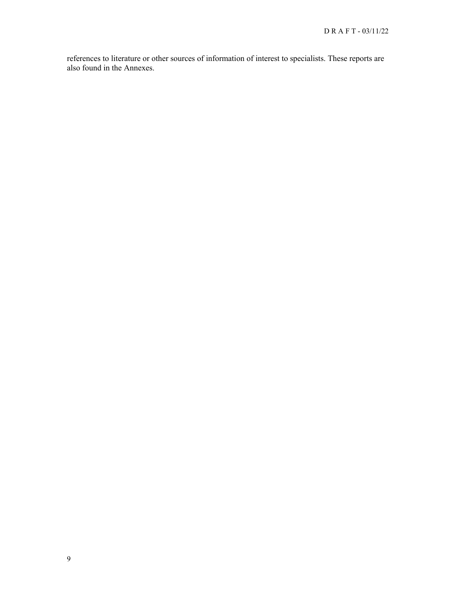references to literature or other sources of information of interest to specialists. These reports are also found in the Annexes.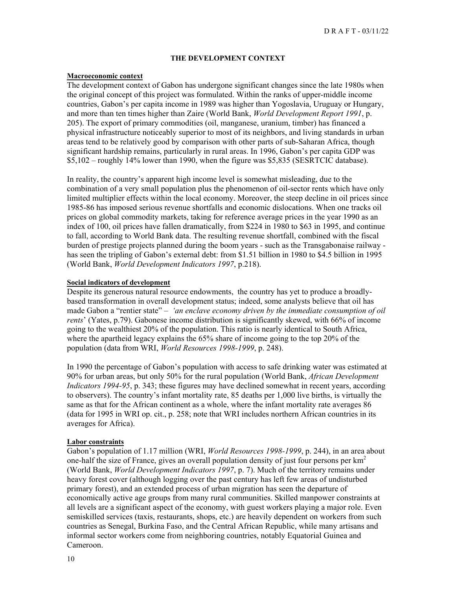#### **THE DEVELOPMENT CONTEXT**

#### **Macroeconomic context**

The development context of Gabon has undergone significant changes since the late 1980s when the original concept of this project was formulated. Within the ranks of upper-middle income countries, Gabon's per capita income in 1989 was higher than Yogoslavia, Uruguay or Hungary, and more than ten times higher than Zaire (World Bank, *World Development Report 1991*, p. 205). The export of primary commodities (oil, manganese, uranium, timber) has financed a physical infrastructure noticeably superior to most of its neighbors, and living standards in urban areas tend to be relatively good by comparison with other parts of sub-Saharan Africa, though significant hardship remains, particularly in rural areas. In 1996, Gabon's per capita GDP was \$5,102 – roughly 14% lower than 1990, when the figure was \$5,835 (SESRTCIC database).

In reality, the country's apparent high income level is somewhat misleading, due to the combination of a very small population plus the phenomenon of oil-sector rents which have only limited multiplier effects within the local economy. Moreover, the steep decline in oil prices since 1985-86 has imposed serious revenue shortfalls and economic dislocations. When one tracks oil prices on global commodity markets, taking for reference average prices in the year 1990 as an index of 100, oil prices have fallen dramatically, from \$224 in 1980 to \$63 in 1995, and continue to fall, according to World Bank data. The resulting revenue shortfall, combined with the fiscal burden of prestige projects planned during the boom years - such as the Transgabonaise railway has seen the tripling of Gabon's external debt: from \$1.51 billion in 1980 to \$4.5 billion in 1995 (World Bank, *World Development Indicators 1997*, p.218).

#### **Social indicators of development**

Despite its generous natural resource endowments, the country has yet to produce a broadlybased transformation in overall development status; indeed, some analysts believe that oil has made Gabon a "rentier state" – *'an enclave economy driven by the immediate consumption of oil rents*' (Yates, p.79). Gabonese income distribution is significantly skewed, with 66% of income going to the wealthiest 20% of the population. This ratio is nearly identical to South Africa, where the apartheid legacy explains the 65% share of income going to the top 20% of the population (data from WRI, *World Resources 1998-1999*, p. 248).

In 1990 the percentage of Gabon's population with access to safe drinking water was estimated at 90% for urban areas, but only 50% for the rural population (World Bank, *African Development Indicators 1994-95*, p. 343; these figures may have declined somewhat in recent years, according to observers). The country's infant mortality rate, 85 deaths per 1,000 live births, is virtually the same as that for the African continent as a whole, where the infant mortality rate averages 86 (data for 1995 in WRI op. cit., p. 258; note that WRI includes northern African countries in its averages for Africa).

#### **Labor constraints**

Gabon's population of 1.17 million (WRI, *World Resources 1998-1999*, p. 244), in an area about one-half the size of France, gives an overall population density of just four persons per  $km<sup>2</sup>$ (World Bank, *World Development Indicators 1997*, p. 7). Much of the territory remains under heavy forest cover (although logging over the past century has left few areas of undisturbed primary forest), and an extended process of urban migration has seen the departure of economically active age groups from many rural communities. Skilled manpower constraints at all levels are a significant aspect of the economy, with guest workers playing a major role. Even semiskilled services (taxis, restaurants, shops, etc.) are heavily dependent on workers from such countries as Senegal, Burkina Faso, and the Central African Republic, while many artisans and informal sector workers come from neighboring countries, notably Equatorial Guinea and Cameroon.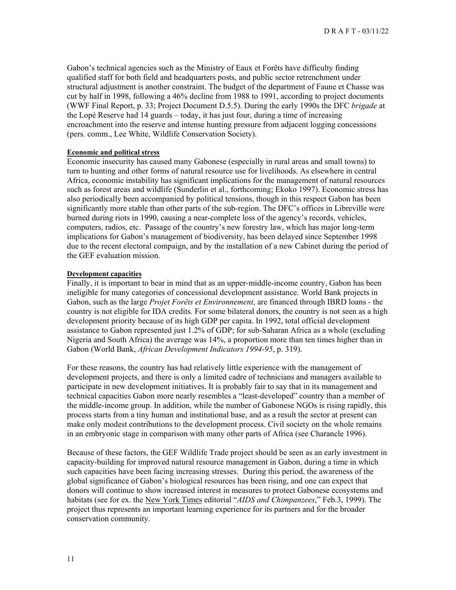Gabon's technical agencies such as the Ministry of Eaux et Forêts have difficulty finding qualified staff for both field and headquarters posts, and public sector retrenchment under structural adjustment is another constraint. The budget of the department of Faune et Chasse was cut by half in 1998, following a 46% decline from 1988 to 1991, according to project documents (WWF Final Report, p. 33; Project Document D.5.5). During the early 1990s the DFC *brigade* at the Lopé Reserve had 14 guards – today, it has just four, during a time of increasing encroachment into the reserve and intense hunting pressure from adjacent logging concessions (pers. comm., Lee White, Wildlife Conservation Society).

#### **Economic and political stress**

Economic insecurity has caused many Gabonese (especially in rural areas and small towns) to turn to hunting and other forms of natural resource use for livelihoods. As elsewhere in central Africa, economic instability has significant implications for the management of natural resources such as forest areas and wildlife (Sunderlin et al., forthcoming; Ekoko 1997). Economic stress has also periodically been accompanied by political tensions, though in this respect Gabon has been significantly more stable than other parts of the sub-region. The DFC's offices in Libreville were burned during riots in 1990, causing a near-complete loss of the agency's records, vehicles, computers, radios, etc. Passage of the country's new forestry law, which has major long-term implications for Gabon's management of biodiversity, has been delayed since September 1998 due to the recent electoral compaign, and by the installation of a new Cabinet during the period of the GEF evaluation mission.

#### **Development capacities**

Finally, it is important to bear in mind that as an upper-middle-income country, Gabon has been ineligible for many categories of concessional development assistance. World Bank projects in Gabon, such as the large *Projet Forêts et Environnement*, are financed through IBRD loans - the country is not eligible for IDA credits. For some bilateral donors, the country is not seen as a high development priority because of its high GDP per capita. In 1992, total official development assistance to Gabon represented just 1.2% of GDP; for sub-Saharan Africa as a whole (excluding Nigeria and South Africa) the average was 14%, a proportion more than ten times higher than in Gabon (World Bank, *African Development Indicators 1994-95*, p. 319).

For these reasons, the country has had relatively little experience with the management of development projects, and there is only a limited cadre of technicians and managers available to participate in new development initiatives. It is probably fair to say that in its management and technical capacities Gabon more nearly resembles a "least-developed" country than a member of the middle-income group. In addition, while the number of Gabonese NGOs is rising rapidly, this process starts from a tiny human and institutional base, and as a result the sector at present can make only modest contributions to the development process. Civil society on the whole remains in an embryonic stage in comparison with many other parts of Africa (see Charancle 1996).

Because of these factors, the GEF Wildlife Trade project should be seen as an early investment in capacity-building for improved natural resource management in Gabon, during a time in which such capacities have been facing increasing stresses. During this period, the awareness of the global significance of Gabon's biological resources has been rising, and one can expect that donors will continue to show increased interest in measures to protect Gabonese ecosystems and habitats (see for ex. the New York Times editorial "*AIDS and Chimpanzees*," Feb.3, 1999). The project thus represents an important learning experience for its partners and for the broader conservation community.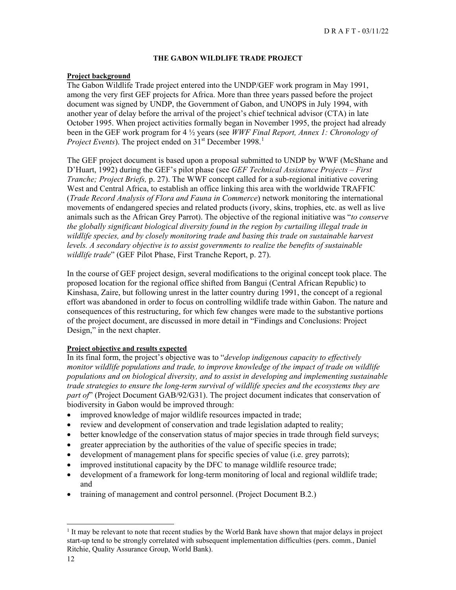#### **THE GABON WILDLIFE TRADE PROJECT**

#### **Project background**

The Gabon Wildlife Trade project entered into the UNDP/GEF work program in May 1991, among the very first GEF projects for Africa. More than three years passed before the project document was signed by UNDP, the Government of Gabon, and UNOPS in July 1994, with another year of delay before the arrival of the project's chief technical advisor (CTA) in late October 1995. When project activities formally began in November 1995, the project had already been in the GEF work program for 4 ½ years (see *WWF Final Report, Annex 1: Chronology of Project Events*). The project ended on 3[1](#page-11-0)<sup>st</sup> December 1998.<sup>1</sup>

The GEF project document is based upon a proposal submitted to UNDP by WWF (McShane and D'Huart, 1992) during the GEF's pilot phase (see *GEF Technical Assistance Projects – First Tranche; Project Briefs,* p. 27). The WWF concept called for a sub-regional initiative covering West and Central Africa, to establish an office linking this area with the worldwide TRAFFIC (*Trade Record Analysis of Flora and Fauna in Commerce*) network monitoring the international movements of endangered species and related products (ivory, skins, trophies, etc. as well as live animals such as the African Grey Parrot). The objective of the regional initiative was "*to conserve the globally significant biological diversity found in the region by curtailing illegal trade in wildlife species, and by closely monitoring trade and basing this trade on sustainable harvest levels. A secondary objective is to assist governments to realize the benefits of sustainable wildlife trade*" (GEF Pilot Phase, First Tranche Report, p. 27).

In the course of GEF project design, several modifications to the original concept took place. The proposed location for the regional office shifted from Bangui (Central African Republic) to Kinshasa, Zaire, but following unrest in the latter country during 1991, the concept of a regional effort was abandoned in order to focus on controlling wildlife trade within Gabon. The nature and consequences of this restructuring, for which few changes were made to the substantive portions of the project document, are discussed in more detail in "Findings and Conclusions: Project Design," in the next chapter.

#### **Project objective and results expected**

In its final form, the project's objective was to "*develop indigenous capacity to effectively monitor wildlife populations and trade, to improve knowledge of the impact of trade on wildlife populations and on biological diversity, and to assist in developing and implementing sustainable trade strategies to ensure the long-term survival of wildlife species and the ecosystems they are part of*" (Project Document GAB/92/G31). The project document indicates that conservation of biodiversity in Gabon would be improved through:

- improved knowledge of major wildlife resources impacted in trade;
- review and development of conservation and trade legislation adapted to reality;
- better knowledge of the conservation status of major species in trade through field surveys;
- greater appreciation by the authorities of the value of specific species in trade;
- development of management plans for specific species of value (i.e. grey parrots);
- improved institutional capacity by the DFC to manage wildlife resource trade;
- development of a framework for long-term monitoring of local and regional wildlife trade; and
- training of management and control personnel. (Project Document B.2.)

<span id="page-11-0"></span> $<sup>1</sup>$  It may be relevant to note that recent studies by the World Bank have shown that major delays in project</sup> start-up tend to be strongly correlated with subsequent implementation difficulties (pers. comm., Daniel Ritchie, Quality Assurance Group, World Bank).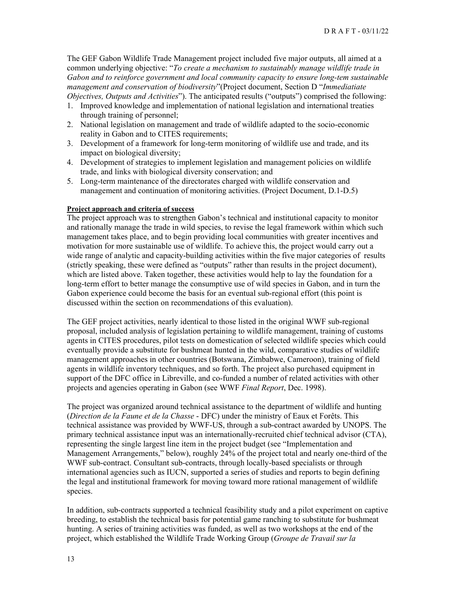The GEF Gabon Wildlife Trade Management project included five major outputs, all aimed at a common underlying objective: "*To create a mechanism to sustainably manage wildlife trade in Gabon and to reinforce government and local community capacity to ensure long-tem sustainable management and conservation of biodiversity*"(Project document, Section D "*Immediatiate Objectives, Outputs and Activities*"). The anticipated results ("outputs") comprised the following:

- 1. Improved knowledge and implementation of national legislation and international treaties through training of personnel;
- 2. National legislation on management and trade of wildlife adapted to the socio-economic reality in Gabon and to CITES requirements;
- 3. Development of a framework for long-term monitoring of wildlife use and trade, and its impact on biological diversity;
- 4. Development of strategies to implement legislation and management policies on wildlife trade, and links with biological diversity conservation; and
- 5. Long-term maintenance of the directorates charged with wildlife conservation and management and continuation of monitoring activities. (Project Document, D.1-D.5)

## **Project approach and criteria of success**

The project approach was to strengthen Gabon's technical and institutional capacity to monitor and rationally manage the trade in wild species, to revise the legal framework within which such management takes place, and to begin providing local communities with greater incentives and motivation for more sustainable use of wildlife. To achieve this, the project would carry out a wide range of analytic and capacity-building activities within the five major categories of results (strictly speaking, these were defined as "outputs" rather than results in the project document), which are listed above. Taken together, these activities would help to lay the foundation for a long-term effort to better manage the consumptive use of wild species in Gabon, and in turn the Gabon experience could become the basis for an eventual sub-regional effort (this point is discussed within the section on recommendations of this evaluation).

The GEF project activities, nearly identical to those listed in the original WWF sub-regional proposal, included analysis of legislation pertaining to wildlife management, training of customs agents in CITES procedures, pilot tests on domestication of selected wildlife species which could eventually provide a substitute for bushmeat hunted in the wild, comparative studies of wildlife management approaches in other countries (Botswana, Zimbabwe, Cameroon), training of field agents in wildlife inventory techniques, and so forth. The project also purchased equipment in support of the DFC office in Libreville, and co-funded a number of related activities with other projects and agencies operating in Gabon (see WWF *Final Report*, Dec. 1998).

The project was organized around technical assistance to the department of wildlife and hunting (*Direction de la Faune et de la Chasse* - DFC) under the ministry of Eaux et Forêts. This technical assistance was provided by WWF-US, through a sub-contract awarded by UNOPS. The primary technical assistance input was an internationally-recruited chief technical advisor (CTA), representing the single largest line item in the project budget (see "Implementation and Management Arrangements," below), roughly 24% of the project total and nearly one-third of the WWF sub-contract. Consultant sub-contracts, through locally-based specialists or through international agencies such as IUCN, supported a series of studies and reports to begin defining the legal and institutional framework for moving toward more rational management of wildlife species.

In addition, sub-contracts supported a technical feasibility study and a pilot experiment on captive breeding, to establish the technical basis for potential game ranching to substitute for bushmeat hunting. A series of training activities was funded, as well as two workshops at the end of the project, which established the Wildlife Trade Working Group (*Groupe de Travail sur la*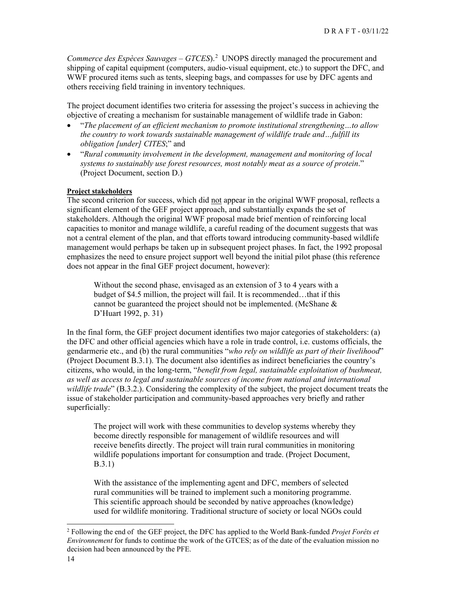Commerce des Espèces Sauvages  $-$  GTCES).<sup>[2](#page-13-0)</sup> UNOPS directly managed the procurement and shipping of capital equipment (computers, audio-visual equipment, etc.) to support the DFC, and WWF procured items such as tents, sleeping bags, and compasses for use by DFC agents and others receiving field training in inventory techniques.

The project document identifies two criteria for assessing the project's success in achieving the objective of creating a mechanism for sustainable management of wildlife trade in Gabon:

- "*The placement of an efficient mechanism to promote institutional strengthening…to allow the country to work towards sustainable management of wildlife trade and…fulfill its obligation [under] CITES*;" and
- "*Rural community involvement in the development, management and monitoring of local systems to sustainably use forest resources, most notably meat as a source of protein*." (Project Document, section D.)

#### **Project stakeholders**

The second criterion for success, which did not appear in the original WWF proposal, reflects a significant element of the GEF project approach, and substantially expands the set of stakeholders. Although the original WWF proposal made brief mention of reinforcing local capacities to monitor and manage wildlife, a careful reading of the document suggests that was not a central element of the plan, and that efforts toward introducing community-based wildlife management would perhaps be taken up in subsequent project phases. In fact, the 1992 proposal emphasizes the need to ensure project support well beyond the initial pilot phase (this reference does not appear in the final GEF project document, however):

Without the second phase, envisaged as an extension of 3 to 4 years with a budget of \$4.5 million, the project will fail. It is recommended…that if this cannot be guaranteed the project should not be implemented. (McShane & D'Huart 1992, p. 31)

In the final form, the GEF project document identifies two major categories of stakeholders: (a) the DFC and other official agencies which have a role in trade control, i.e. customs officials, the gendarmerie etc., and (b) the rural communities "*who rely on wildlife as part of their livelihood*" (Project Document B.3.1). The document also identifies as indirect beneficiaries the country's citizens, who would, in the long-term, "*benefit from legal, sustainable exploitation of bushmeat, as well as access to legal and sustainable sources of income from national and international wildlife trade*" (B.3.2.). Considering the complexity of the subject, the project document treats the issue of stakeholder participation and community-based approaches very briefly and rather superficially:

The project will work with these communities to develop systems whereby they become directly responsible for management of wildlife resources and will receive benefits directly. The project will train rural communities in monitoring wildlife populations important for consumption and trade. (Project Document, B.3.1)

With the assistance of the implementing agent and DFC, members of selected rural communities will be trained to implement such a monitoring programme. This scientific approach should be seconded by native approaches (knowledge) used for wildlife monitoring. Traditional structure of society or local NGOs could

<span id="page-13-0"></span><sup>2</sup> Following the end of the GEF project, the DFC has applied to the World Bank-funded *Projet Forêts et Environnement* for funds to continue the work of the GTCES; as of the date of the evaluation mission no decision had been announced by the PFE.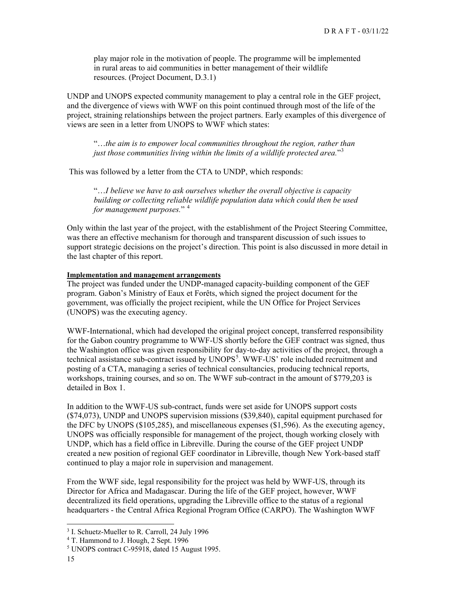play major role in the motivation of people. The programme will be implemented in rural areas to aid communities in better management of their wildlife resources. (Project Document, D.3.1)

UNDP and UNOPS expected community management to play a central role in the GEF project, and the divergence of views with WWF on this point continued through most of the life of the project, straining relationships between the project partners. Early examples of this divergence of views are seen in a letter from UNOPS to WWF which states:

"…*the aim is to empower local communities throughout the region, rather than just those communities living within the limits of a wildlife protected area.*"[3](#page-14-0)

This was followed by a letter from the CTA to UNDP, which responds:

"…*I believe we have to ask ourselves whether the overall objective is capacity building or collecting reliable wildlife population data which could then be used for management purposes.*" [4](#page-14-1)

Only within the last year of the project, with the establishment of the Project Steering Committee, was there an effective mechanism for thorough and transparent discussion of such issues to support strategic decisions on the project's direction. This point is also discussed in more detail in the last chapter of this report.

#### **Implementation and management arrangements**

The project was funded under the UNDP-managed capacity-building component of the GEF program. Gabon's Ministry of Eaux et Forêts, which signed the project document for the government, was officially the project recipient, while the UN Office for Project Services (UNOPS) was the executing agency.

WWF-International, which had developed the original project concept, transferred responsibility for the Gabon country programme to WWF-US shortly before the GEF contract was signed, thus the Washington office was given responsibility for day-to-day activities of the project, through a technical assistance sub-contract issued by UNOPS<sup>[5](#page-14-2)</sup>. WWF-US' role included recruitment and posting of a CTA, managing a series of technical consultancies, producing technical reports, workshops, training courses, and so on. The WWF sub-contract in the amount of \$779,203 is detailed in Box 1.

In addition to the WWF-US sub-contract, funds were set aside for UNOPS support costs (\$74,073), UNDP and UNOPS supervision missions (\$39,840), capital equipment purchased for the DFC by UNOPS (\$105,285), and miscellaneous expenses (\$1,596). As the executing agency, UNOPS was officially responsible for management of the project, though working closely with UNDP, which has a field office in Libreville. During the course of the GEF project UNDP created a new position of regional GEF coordinator in Libreville, though New York-based staff continued to play a major role in supervision and management.

From the WWF side, legal responsibility for the project was held by WWF-US, through its Director for Africa and Madagascar. During the life of the GEF project, however, WWF decentralized its field operations, upgrading the Libreville office to the status of a regional headquarters - the Central Africa Regional Program Office (CARPO). The Washington WWF

<span id="page-14-0"></span><sup>&</sup>lt;sup>3</sup> I. Schuetz-Mueller to R. Carroll, 24 July 1996

<span id="page-14-1"></span><sup>4</sup> T. Hammond to J. Hough, 2 Sept. 1996

<span id="page-14-2"></span><sup>5</sup> UNOPS contract C-95918, dated 15 August 1995.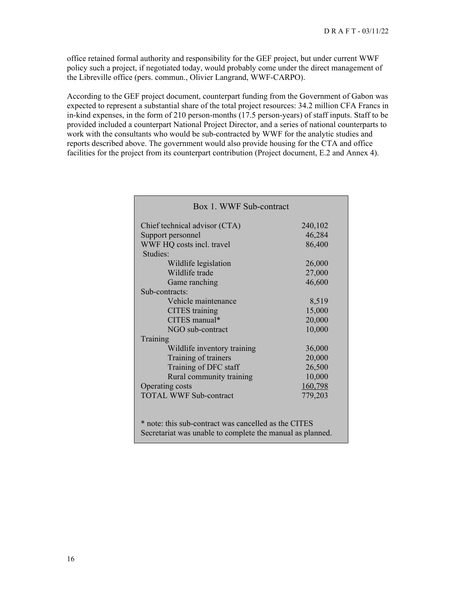office retained formal authority and responsibility for the GEF project, but under current WWF policy such a project, if negotiated today, would probably come under the direct management of the Libreville office (pers. commun., Olivier Langrand, WWF-CARPO).

According to the GEF project document, counterpart funding from the Government of Gabon was expected to represent a substantial share of the total project resources: 34.2 million CFA Francs in in-kind expenses, in the form of 210 person-months (17.5 person-years) of staff inputs. Staff to be provided included a counterpart National Project Director, and a series of national counterparts to work with the consultants who would be sub-contracted by WWF for the analytic studies and reports described above. The government would also provide housing for the CTA and office facilities for the project from its counterpart contribution (Project document, E.2 and Annex 4).

| Box 1. WWF Sub-contract                                                                                           |         |  |
|-------------------------------------------------------------------------------------------------------------------|---------|--|
| Chief technical advisor (CTA)                                                                                     | 240,102 |  |
| Support personnel                                                                                                 | 46,284  |  |
| WWF HQ costs incl. travel                                                                                         | 86,400  |  |
| Studies:                                                                                                          |         |  |
| Wildlife legislation                                                                                              | 26,000  |  |
| Wildlife trade                                                                                                    | 27,000  |  |
| Game ranching                                                                                                     | 46,600  |  |
| Sub-contracts:                                                                                                    |         |  |
| Vehicle maintenance                                                                                               | 8,519   |  |
| <b>CITES</b> training                                                                                             | 15,000  |  |
| CITES manual*                                                                                                     | 20,000  |  |
| NGO sub-contract                                                                                                  | 10,000  |  |
| Training                                                                                                          |         |  |
| Wildlife inventory training                                                                                       | 36,000  |  |
| Training of trainers                                                                                              | 20,000  |  |
| Training of DFC staff                                                                                             | 26,500  |  |
| Rural community training                                                                                          | 10,000  |  |
| Operating costs                                                                                                   | 160,798 |  |
| <b>TOTAL WWF Sub-contract</b>                                                                                     | 779,203 |  |
| * note: this sub-contract was cancelled as the CITES<br>Secretariat was unable to complete the manual as planned. |         |  |
|                                                                                                                   |         |  |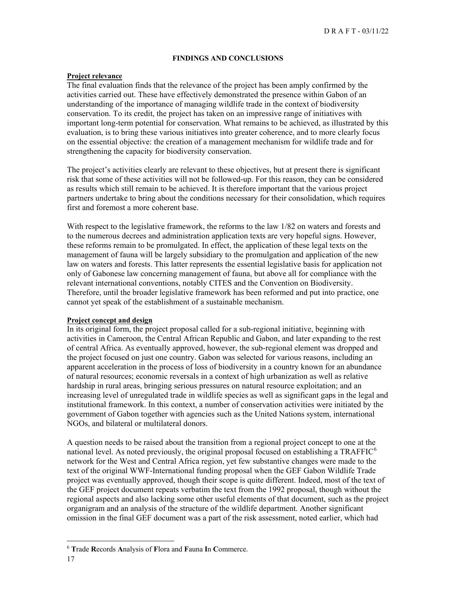#### **FINDINGS AND CONCLUSIONS**

#### **Project relevance**

The final evaluation finds that the relevance of the project has been amply confirmed by the activities carried out. These have effectively demonstrated the presence within Gabon of an understanding of the importance of managing wildlife trade in the context of biodiversity conservation. To its credit, the project has taken on an impressive range of initiatives with important long-term potential for conservation. What remains to be achieved, as illustrated by this evaluation, is to bring these various initiatives into greater coherence, and to more clearly focus on the essential objective: the creation of a management mechanism for wildlife trade and for strengthening the capacity for biodiversity conservation.

The project's activities clearly are relevant to these objectives, but at present there is significant risk that some of these activities will not be followed-up. For this reason, they can be considered as results which still remain to be achieved. It is therefore important that the various project partners undertake to bring about the conditions necessary for their consolidation, which requires first and foremost a more coherent base.

With respect to the legislative framework, the reforms to the law 1/82 on waters and forests and to the numerous decrees and administration application texts are very hopeful signs. However, these reforms remain to be promulgated. In effect, the application of these legal texts on the management of fauna will be largely subsidiary to the promulgation and application of the new law on waters and forests. This latter represents the essential legislative basis for application not only of Gabonese law concerning management of fauna, but above all for compliance with the relevant international conventions, notably CITES and the Convention on Biodiversity. Therefore, until the broader legislative framework has been reformed and put into practice, one cannot yet speak of the establishment of a sustainable mechanism.

#### **Project concept and design**

In its original form, the project proposal called for a sub-regional initiative, beginning with activities in Cameroon, the Central African Republic and Gabon, and later expanding to the rest of central Africa. As eventually approved, however, the sub-regional element was dropped and the project focused on just one country. Gabon was selected for various reasons, including an apparent acceleration in the process of loss of biodiversity in a country known for an abundance of natural resources; economic reversals in a context of high urbanization as well as relative hardship in rural areas, bringing serious pressures on natural resource exploitation; and an increasing level of unregulated trade in wildlife species as well as significant gaps in the legal and institutional framework. In this context, a number of conservation activities were initiated by the government of Gabon together with agencies such as the United Nations system, international NGOs, and bilateral or multilateral donors.

A question needs to be raised about the transition from a regional project concept to one at the national level. As noted previously, the original proposal focused on establishing a TRAFFIC<sup>[6](#page-16-0)</sup> network for the West and Central Africa region, yet few substantive changes were made to the text of the original WWF-International funding proposal when the GEF Gabon Wildlife Trade project was eventually approved, though their scope is quite different. Indeed, most of the text of the GEF project document repeats verbatim the text from the 1992 proposal, though without the regional aspects and also lacking some other useful elements of that document, such as the project organigram and an analysis of the structure of the wildlife department. Another significant omission in the final GEF document was a part of the risk assessment, noted earlier, which had

<span id="page-16-0"></span><sup>6</sup> **T**rade **R**ecords **A**nalysis of **F**lora and **F**auna **I**n **C**ommerce.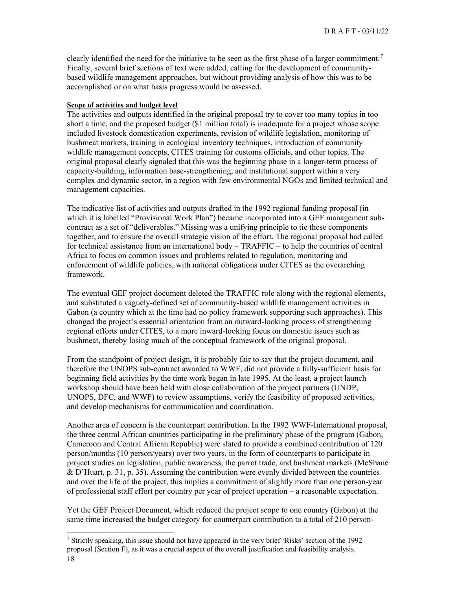clearly identified the need for the initiative to be seen as the first phase of a larger commitment.<sup>[7](#page-17-0)</sup> Finally, several brief sections of text were added, calling for the development of communitybased wildlife management approaches, but without providing analysis of how this was to be accomplished or on what basis progress would be assessed.

#### **Scope of activities and budget level**

The activities and outputs identified in the original proposal try to cover too many topics in too short a time, and the proposed budget (\$1 million total) is inadequate for a project whose scope included livestock domestication experiments, revision of wildlife legislation, monitoring of bushmeat markets, training in ecological inventory techniques, introduction of community wildlife management concepts, CITES training for customs officials, and other topics. The original proposal clearly signaled that this was the beginning phase in a longer-term process of capacity-building, information base-strengthening, and institutional support within a very complex and dynamic sector, in a region with few environmental NGOs and limited technical and management capacities.

The indicative list of activities and outputs drafted in the 1992 regional funding proposal (in which it is labelled "Provisional Work Plan") became incorporated into a GEF management subcontract as a set of "deliverables." Missing was a unifying principle to tie these components together, and to ensure the overall strategic vision of the effort. The regional proposal had called for technical assistance from an international body – TRAFFIC – to help the countries of central Africa to focus on common issues and problems related to regulation, monitoring and enforcement of wildlife policies, with national obligations under CITES as the overarching framework.

The eventual GEF project document deleted the TRAFFIC role along with the regional elements, and substituted a vaguely-defined set of community-based wildlife management activities in Gabon (a country which at the time had no policy framework supporting such approaches). This changed the project's essential orientation from an outward-looking process of strengthening regional efforts under CITES, to a more inward-looking focus on domestic issues such as bushmeat, thereby losing much of the conceptual framework of the original proposal.

From the standpoint of project design, it is probably fair to say that the project document, and therefore the UNOPS sub-contract awarded to WWF, did not provide a fully-sufficient basis for beginning field activities by the time work began in late 1995. At the least, a project launch workshop should have been held with close collaboration of the project partners (UNDP, UNOPS, DFC, and WWF) to review assumptions, verify the feasibility of proposed activities, and develop mechanisms for communication and coordination.

Another area of concern is the counterpart contribution. In the 1992 WWF-International proposal, the three central African countries participating in the preliminary phase of the program (Gabon, Cameroon and Central African Republic) were slated to provide a combined contribution of 120 person/months (10 person/years) over two years, in the form of counterparts to participate in project studies on legislation, public awareness, the parrot trade, and bushmeat markets (McShane  $\&$  D'Huart, p. 31, p. 35). Assuming the contribution were evenly divided between the countries and over the life of the project, this implies a commitment of slightly more than one person-year of professional staff effort per country per year of project operation – a reasonable expectation.

Yet the GEF Project Document, which reduced the project scope to one country (Gabon) at the same time increased the budget category for counterpart contribution to a total of 210 person-

<span id="page-17-0"></span><sup>&</sup>lt;sup>7</sup> Strictly speaking, this issue should not have appeared in the very brief 'Risks' section of the 1992 proposal (Section F), as it was a crucial aspect of the overall justification and feasibility analysis.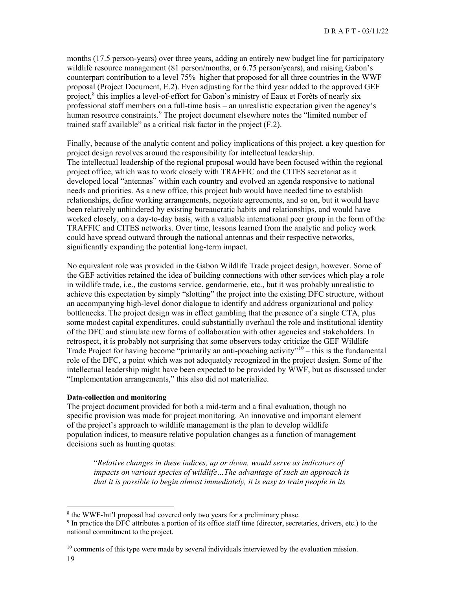months (17.5 person-years) over three years, adding an entirely new budget line for participatory wildlife resource management (81 person/months, or 6.75 person/years), and raising Gabon's counterpart contribution to a level 75% higher that proposed for all three countries in the WWF proposal (Project Document, E.2). Even adjusting for the third year added to the approved GEF project,<sup>[8](#page-18-0)</sup> this implies a level-of-effort for Gabon's ministry of Eaux et Forêts of nearly six professional staff members on a full-time basis – an unrealistic expectation given the agency's human resource constraints.<sup>[9](#page-18-1)</sup> The project document elsewhere notes the "limited number of trained staff available" as a critical risk factor in the project (F.2).

Finally, because of the analytic content and policy implications of this project, a key question for project design revolves around the responsibility for intellectual leadership. The intellectual leadership of the regional proposal would have been focused within the regional project office, which was to work closely with TRAFFIC and the CITES secretariat as it developed local "antennas" within each country and evolved an agenda responsive to national needs and priorities. As a new office, this project hub would have needed time to establish relationships, define working arrangements, negotiate agreements, and so on, but it would have been relatively unhindered by existing bureaucratic habits and relationships, and would have worked closely, on a day-to-day basis, with a valuable international peer group in the form of the TRAFFIC and CITES networks. Over time, lessons learned from the analytic and policy work could have spread outward through the national antennas and their respective networks, significantly expanding the potential long-term impact.

No equivalent role was provided in the Gabon Wildlife Trade project design, however. Some of the GEF activities retained the idea of building connections with other services which play a role in wildlife trade, i.e., the customs service, gendarmerie, etc., but it was probably unrealistic to achieve this expectation by simply "slotting" the project into the existing DFC structure, without an accompanying high-level donor dialogue to identify and address organizational and policy bottlenecks. The project design was in effect gambling that the presence of a single CTA, plus some modest capital expenditures, could substantially overhaul the role and institutional identity of the DFC and stimulate new forms of collaboration with other agencies and stakeholders. In retrospect, it is probably not surprising that some observers today criticize the GEF Wildlife Trade Project for having become "primarily an anti-poaching activity"<sup>[10](#page-18-2)</sup> – this is the fundamental role of the DFC, a point which was not adequately recognized in the project design. Some of the intellectual leadership might have been expected to be provided by WWF, but as discussed under "Implementation arrangements," this also did not materialize.

## **Data-collection and monitoring**

The project document provided for both a mid-term and a final evaluation, though no specific provision was made for project monitoring. An innovative and important element of the project's approach to wildlife management is the plan to develop wildlife population indices, to measure relative population changes as a function of management decisions such as hunting quotas:

"*Relative changes in these indices, up or down, would serve as indicators of impacts on various species of wildlife…The advantage of such an approach is that it is possible to begin almost immediately, it is easy to train people in its* 

<span id="page-18-0"></span><sup>&</sup>lt;sup>8</sup> the WWF-Int'l proposal had covered only two years for a preliminary phase.

<span id="page-18-1"></span><sup>&</sup>lt;sup>9</sup> In practice the DFC attributes a portion of its office staff time (director, secretaries, drivers, etc.) to the national commitment to the project.

<span id="page-18-2"></span> $10$  comments of this type were made by several individuals interviewed by the evaluation mission.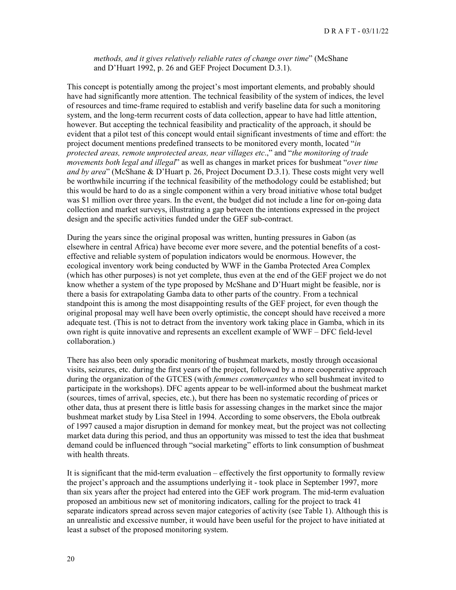*methods, and it gives relatively reliable rates of change over time*" (McShane and D'Huart 1992, p. 26 and GEF Project Document D.3.1).

This concept is potentially among the project's most important elements, and probably should have had significantly more attention. The technical feasibility of the system of indices, the level of resources and time-frame required to establish and verify baseline data for such a monitoring system, and the long-term recurrent costs of data collection, appear to have had little attention, however. But accepting the technical feasibility and practicality of the approach, it should be evident that a pilot test of this concept would entail significant investments of time and effort: the project document mentions predefined transects to be monitored every month, located "*in protected areas, remote unprotected areas, near villages etc*.," and "*the monitoring of trade movements both legal and illegal*" as well as changes in market prices for bushmeat "*over time and by area*" (McShane & D'Huart p. 26, Project Document D.3.1). These costs might very well be worthwhile incurring if the technical feasibility of the methodology could be established; but this would be hard to do as a single component within a very broad initiative whose total budget was \$1 million over three years. In the event, the budget did not include a line for on-going data collection and market surveys, illustrating a gap between the intentions expressed in the project design and the specific activities funded under the GEF sub-contract.

During the years since the original proposal was written, hunting pressures in Gabon (as elsewhere in central Africa) have become ever more severe, and the potential benefits of a costeffective and reliable system of population indicators would be enormous. However, the ecological inventory work being conducted by WWF in the Gamba Protected Area Complex (which has other purposes) is not yet complete, thus even at the end of the GEF project we do not know whether a system of the type proposed by McShane and D'Huart might be feasible, nor is there a basis for extrapolating Gamba data to other parts of the country. From a technical standpoint this is among the most disappointing results of the GEF project, for even though the original proposal may well have been overly optimistic, the concept should have received a more adequate test. (This is not to detract from the inventory work taking place in Gamba, which in its own right is quite innovative and represents an excellent example of WWF – DFC field-level collaboration.)

There has also been only sporadic monitoring of bushmeat markets, mostly through occasional visits, seizures, etc. during the first years of the project, followed by a more cooperative approach during the organization of the GTCES (with *femmes commerçantes* who sell bushmeat invited to participate in the workshops). DFC agents appear to be well-informed about the bushmeat market (sources, times of arrival, species, etc.), but there has been no systematic recording of prices or other data, thus at present there is little basis for assessing changes in the market since the major bushmeat market study by Lisa Steel in 1994. According to some observers, the Ebola outbreak of 1997 caused a major disruption in demand for monkey meat, but the project was not collecting market data during this period, and thus an opportunity was missed to test the idea that bushmeat demand could be influenced through "social marketing" efforts to link consumption of bushmeat with health threats.

It is significant that the mid-term evaluation – effectively the first opportunity to formally review the project's approach and the assumptions underlying it - took place in September 1997, more than six years after the project had entered into the GEF work program. The mid-term evaluation proposed an ambitious new set of monitoring indicators, calling for the project to track 41 separate indicators spread across seven major categories of activity (see Table 1). Although this is an unrealistic and excessive number, it would have been useful for the project to have initiated at least a subset of the proposed monitoring system.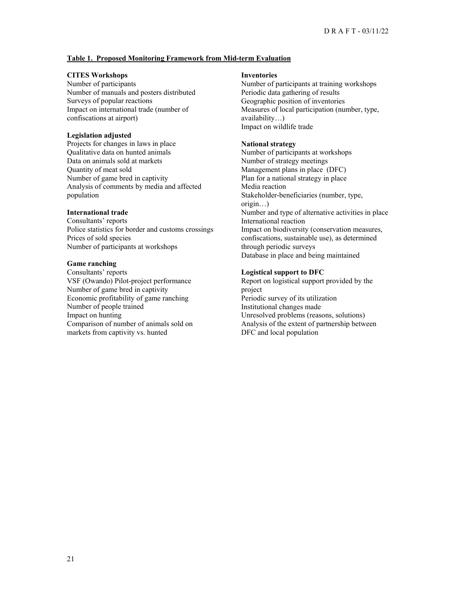#### **Table 1. Proposed Monitoring Framework from Mid-term Evaluation**

#### **CITES Workshops**

Number of participants Number of manuals and posters distributed Surveys of popular reactions Impact on international trade (number of confiscations at airport)

#### **Legislation adjusted**

Projects for changes in laws in place Qualitative data on hunted animals Data on animals sold at markets Quantity of meat sold Number of game bred in captivity Analysis of comments by media and affected population

#### **International trade**

Consultants' reports Police statistics for border and customs crossings Prices of sold species Number of participants at workshops

#### **Game ranching**

Consultants' reports VSF (Owando) Pilot-project performance Number of game bred in captivity Economic profitability of game ranching Number of people trained Impact on hunting Comparison of number of animals sold on markets from captivity vs. hunted

#### **Inventories**

Number of participants at training workshops Periodic data gathering of results Geographic position of inventories Measures of local participation (number, type, availability…) Impact on wildlife trade

#### **National strategy**

Number of participants at workshops Number of strategy meetings Management plans in place (DFC) Plan for a national strategy in place Media reaction Stakeholder-beneficiaries (number, type, origin…) Number and type of alternative activities in place International reaction Impact on biodiversity (conservation measures, confiscations, sustainable use), as determined through periodic surveys Database in place and being maintained

#### **Logistical support to DFC**

Report on logistical support provided by the project Periodic survey of its utilization Institutional changes made Unresolved problems (reasons, solutions) Analysis of the extent of partnership between DFC and local population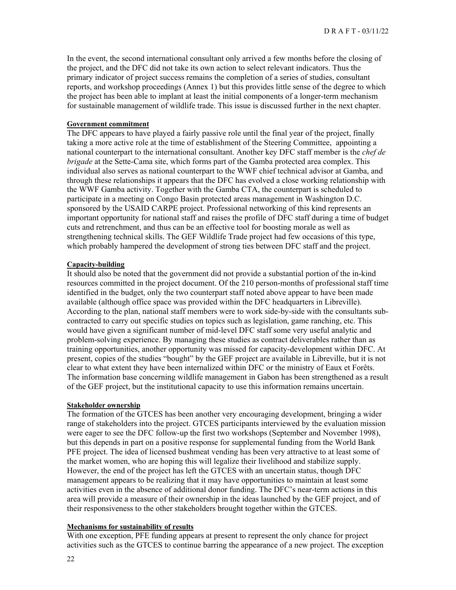In the event, the second international consultant only arrived a few months before the closing of the project, and the DFC did not take its own action to select relevant indicators. Thus the primary indicator of project success remains the completion of a series of studies, consultant reports, and workshop proceedings (Annex 1) but this provides little sense of the degree to which the project has been able to implant at least the initial components of a longer-term mechanism for sustainable management of wildlife trade. This issue is discussed further in the next chapter.

#### **Government commitment**

The DFC appears to have played a fairly passive role until the final year of the project, finally taking a more active role at the time of establishment of the Steering Committee, appointing a national counterpart to the international consultant. Another key DFC staff member is the *chef de brigade* at the Sette-Cama site, which forms part of the Gamba protected area complex. This individual also serves as national counterpart to the WWF chief technical advisor at Gamba, and through these relationships it appears that the DFC has evolved a close working relationship with the WWF Gamba activity. Together with the Gamba CTA, the counterpart is scheduled to participate in a meeting on Congo Basin protected areas management in Washington D.C. sponsored by the USAID CARPE project. Professional networking of this kind represents an important opportunity for national staff and raises the profile of DFC staff during a time of budget cuts and retrenchment, and thus can be an effective tool for boosting morale as well as strengthening technical skills. The GEF Wildlife Trade project had few occasions of this type, which probably hampered the development of strong ties between DFC staff and the project.

#### **Capacity-building**

It should also be noted that the government did not provide a substantial portion of the in-kind resources committed in the project document. Of the 210 person-months of professional staff time identified in the budget, only the two counterpart staff noted above appear to have been made available (although office space was provided within the DFC headquarters in Libreville). According to the plan, national staff members were to work side-by-side with the consultants subcontracted to carry out specific studies on topics such as legislation, game ranching, etc. This would have given a significant number of mid-level DFC staff some very useful analytic and problem-solving experience. By managing these studies as contract deliverables rather than as training opportunities, another opportunity was missed for capacity-development within DFC. At present, copies of the studies "bought" by the GEF project are available in Libreville, but it is not clear to what extent they have been internalized within DFC or the ministry of Eaux et Forêts. The information base concerning wildlife management in Gabon has been strengthened as a result of the GEF project, but the institutional capacity to use this information remains uncertain.

#### **Stakeholder ownership**

The formation of the GTCES has been another very encouraging development, bringing a wider range of stakeholders into the project. GTCES participants interviewed by the evaluation mission were eager to see the DFC follow-up the first two workshops (September and November 1998), but this depends in part on a positive response for supplemental funding from the World Bank PFE project. The idea of licensed bushmeat vending has been very attractive to at least some of the market women, who are hoping this will legalize their livelihood and stabilize supply. However, the end of the project has left the GTCES with an uncertain status, though DFC management appears to be realizing that it may have opportunities to maintain at least some activities even in the absence of additional donor funding. The DFC's near-term actions in this area will provide a measure of their ownership in the ideas launched by the GEF project, and of their responsiveness to the other stakeholders brought together within the GTCES.

#### **Mechanisms for sustainability of results**

With one exception, PFE funding appears at present to represent the only chance for project activities such as the GTCES to continue barring the appearance of a new project. The exception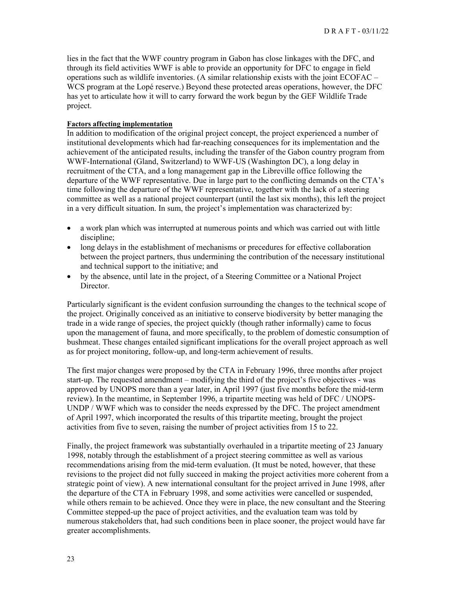lies in the fact that the WWF country program in Gabon has close linkages with the DFC, and through its field activities WWF is able to provide an opportunity for DFC to engage in field operations such as wildlife inventories. (A similar relationship exists with the joint ECOFAC – WCS program at the Lopé reserve.) Beyond these protected areas operations, however, the DFC has yet to articulate how it will to carry forward the work begun by the GEF Wildlife Trade project.

#### **Factors affecting implementation**

In addition to modification of the original project concept, the project experienced a number of institutional developments which had far-reaching consequences for its implementation and the achievement of the anticipated results, including the transfer of the Gabon country program from WWF-International (Gland, Switzerland) to WWF-US (Washington DC), a long delay in recruitment of the CTA, and a long management gap in the Libreville office following the departure of the WWF representative. Due in large part to the conflicting demands on the CTA's time following the departure of the WWF representative, together with the lack of a steering committee as well as a national project counterpart (until the last six months), this left the project in a very difficult situation. In sum, the project's implementation was characterized by:

- a work plan which was interrupted at numerous points and which was carried out with little discipline;
- long delays in the establishment of mechanisms or precedures for effective collaboration between the project partners, thus undermining the contribution of the necessary institutional and technical support to the initiative; and
- by the absence, until late in the project, of a Steering Committee or a National Project Director.

Particularly significant is the evident confusion surrounding the changes to the technical scope of the project. Originally conceived as an initiative to conserve biodiversity by better managing the trade in a wide range of species, the project quickly (though rather informally) came to focus upon the management of fauna, and more specifically, to the problem of domestic consumption of bushmeat. These changes entailed significant implications for the overall project approach as well as for project monitoring, follow-up, and long-term achievement of results.

The first major changes were proposed by the CTA in February 1996, three months after project start-up. The requested amendment – modifying the third of the project's five objectives - was approved by UNOPS more than a year later, in April 1997 (just five months before the mid-term review). In the meantime, in September 1996, a tripartite meeting was held of DFC / UNOPS-UNDP / WWF which was to consider the needs expressed by the DFC. The project amendment of April 1997, which incorporated the results of this tripartite meeting, brought the project activities from five to seven, raising the number of project activities from 15 to 22.

Finally, the project framework was substantially overhauled in a tripartite meeting of 23 January 1998, notably through the establishment of a project steering committee as well as various recommendations arising from the mid-term evaluation. (It must be noted, however, that these revisions to the project did not fully succeed in making the project activities more coherent from a strategic point of view). A new international consultant for the project arrived in June 1998, after the departure of the CTA in February 1998, and some activities were cancelled or suspended, while others remain to be achieved. Once they were in place, the new consultant and the Steering Committee stepped-up the pace of project activities, and the evaluation team was told by numerous stakeholders that, had such conditions been in place sooner, the project would have far greater accomplishments.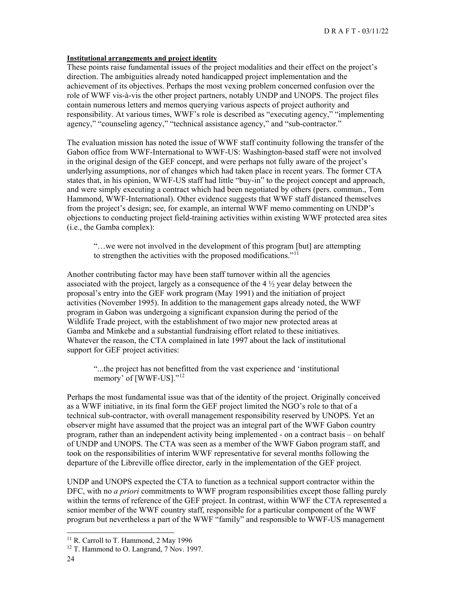#### **Institutional arrangements and project identity**

These points raise fundamental issues of the project modalities and their effect on the project's direction. The ambiguities already noted handicapped project implementation and the achievement of its objectives. Perhaps the most vexing problem concerned confusion over the role of WWF vis-à-vis the other project partners, notably UNDP and UNOPS. The project files contain numerous letters and memos querying various aspects of project authority and responsibility. At various times, WWF's role is described as "executing agency," "implementing agency," "counseling agency," "technical assistance agency," and "sub-contractor."

The evaluation mission has noted the issue of WWF staff continuity following the transfer of the Gabon office from WWF-International to WWF-US: Washington-based staff were not involved in the original design of the GEF concept, and were perhaps not fully aware of the project's underlying assumptions, nor of changes which had taken place in recent years. The former CTA states that, in his opinion, WWF-US staff had little "buy-in" to the project concept and approach, and were simply executing a contract which had been negotiated by others (pers. commun., Tom Hammond, WWF-International). Other evidence suggests that WWF staff distanced themselves from the project's design; see, for example, an internal WWF memo commenting on UNDP's objections to conducting project field-training activities within existing WWF protected area sites (i.e., the Gamba complex):

"…we were not involved in the development of this program [but] are attempting to strengthen the activities with the proposed modifications." $11$ 

Another contributing factor may have been staff turnover within all the agencies associated with the project, largely as a consequence of the  $4\frac{1}{2}$  year delay between the proposal's entry into the GEF work program (May 1991) and the initiation of project activities (November 1995). In addition to the management gaps already noted, the WWF program in Gabon was undergoing a significant expansion during the period of the Wildlife Trade project, with the establishment of two major new protected areas at Gamba and Minkebe and a substantial fundraising effort related to these initiatives. Whatever the reason, the CTA complained in late 1997 about the lack of institutional support for GEF project activities:

"...the project has not benefitted from the vast experience and 'institutional memory' of [WWF-US]."<sup>[12](#page-23-1)</sup>

Perhaps the most fundamental issue was that of the identity of the project. Originally conceived as a WWF initiative, in its final form the GEF project limited the NGO's role to that of a technical sub-contractor, with overall management responsibility reserved by UNOPS. Yet an observer might have assumed that the project was an integral part of the WWF Gabon country program, rather than an independent activity being implemented - on a contract basis – on behalf of UNDP and UNOPS. The CTA was seen as a member of the WWF Gabon program staff, and took on the responsibilities of interim WWF representative for several months following the departure of the Libreville office director, early in the implementation of the GEF project.

UNDP and UNOPS expected the CTA to function as a technical support contractor within the DFC, with no *a priori* commitments to WWF program responsibilities except those falling purely within the terms of reference of the GEF project. In contrast, within WWF the CTA represented a senior member of the WWF country staff, responsible for a particular component of the WWF program but nevertheless a part of the WWF "family" and responsible to WWF-US management

<sup>&</sup>lt;sup>11</sup> R. Carroll to T. Hammond, 2 May 1996

<span id="page-23-1"></span><span id="page-23-0"></span><sup>&</sup>lt;sup>12</sup> T. Hammond to O. Langrand, 7 Nov. 1997.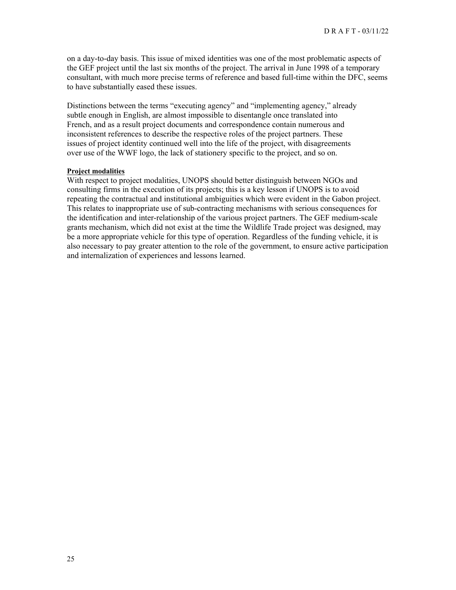on a day-to-day basis. This issue of mixed identities was one of the most problematic aspects of the GEF project until the last six months of the project. The arrival in June 1998 of a temporary consultant, with much more precise terms of reference and based full-time within the DFC, seems to have substantially eased these issues.

Distinctions between the terms "executing agency" and "implementing agency," already subtle enough in English, are almost impossible to disentangle once translated into French, and as a result project documents and correspondence contain numerous and inconsistent references to describe the respective roles of the project partners. These issues of project identity continued well into the life of the project, with disagreements over use of the WWF logo, the lack of stationery specific to the project, and so on.

#### **Project modalities**

With respect to project modalities, UNOPS should better distinguish between NGOs and consulting firms in the execution of its projects; this is a key lesson if UNOPS is to avoid repeating the contractual and institutional ambiguities which were evident in the Gabon project. This relates to inappropriate use of sub-contracting mechanisms with serious consequences for the identification and inter-relationship of the various project partners. The GEF medium-scale grants mechanism, which did not exist at the time the Wildlife Trade project was designed, may be a more appropriate vehicle for this type of operation. Regardless of the funding vehicle, it is also necessary to pay greater attention to the role of the government, to ensure active participation and internalization of experiences and lessons learned.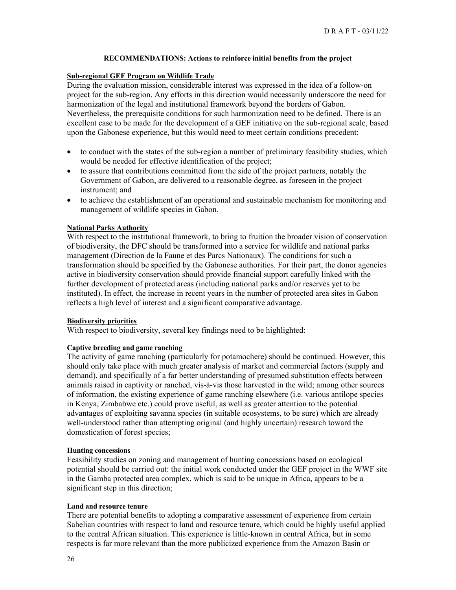#### **RECOMMENDATIONS: Actions to reinforce initial benefits from the project**

#### **Sub-regional GEF Program on Wildlife Trade**

During the evaluation mission, considerable interest was expressed in the idea of a follow-on project for the sub-region. Any efforts in this direction would necessarily underscore the need for harmonization of the legal and institutional framework beyond the borders of Gabon. Nevertheless, the prerequisite conditions for such harmonization need to be defined. There is an excellent case to be made for the development of a GEF initiative on the sub-regional scale, based upon the Gabonese experience, but this would need to meet certain conditions precedent:

- to conduct with the states of the sub-region a number of preliminary feasibility studies, which would be needed for effective identification of the project;
- to assure that contributions committed from the side of the project partners, notably the Government of Gabon, are delivered to a reasonable degree, as foreseen in the project instrument; and
- to achieve the establishment of an operational and sustainable mechanism for monitoring and management of wildlife species in Gabon.

#### **National Parks Authority**

With respect to the institutional framework, to bring to fruition the broader vision of conservation of biodiversity, the DFC should be transformed into a service for wildlife and national parks management (Direction de la Faune et des Parcs Nationaux). The conditions for such a transformation should be specified by the Gabonese authorities. For their part, the donor agencies active in biodiversity conservation should provide financial support carefully linked with the further development of protected areas (including national parks and/or reserves yet to be instituted). In effect, the increase in recent years in the number of protected area sites in Gabon reflects a high level of interest and a significant comparative advantage.

#### **Biodiversity priorities**

With respect to biodiversity, several key findings need to be highlighted:

#### **Captive breeding and game ranching**

The activity of game ranching (particularly for potamochere) should be continued. However, this should only take place with much greater analysis of market and commercial factors (supply and demand), and specifically of a far better understanding of presumed substitution effects between animals raised in captivity or ranched, vis-à-vis those harvested in the wild; among other sources of information, the existing experience of game ranching elsewhere (i.e. various antilope species in Kenya, Zimbabwe etc.) could prove useful, as well as greater attention to the potential advantages of exploiting savanna species (in suitable ecosystems, to be sure) which are already well-understood rather than attempting original (and highly uncertain) research toward the domestication of forest species;

#### **Hunting concessions**

Feasibility studies on zoning and management of hunting concessions based on ecological potential should be carried out: the initial work conducted under the GEF project in the WWF site in the Gamba protected area complex, which is said to be unique in Africa, appears to be a significant step in this direction;

#### **Land and resource tenure**

There are potential benefits to adopting a comparative assessment of experience from certain Sahelian countries with respect to land and resource tenure, which could be highly useful applied to the central African situation. This experience is little-known in central Africa, but in some respects is far more relevant than the more publicized experience from the Amazon Basin or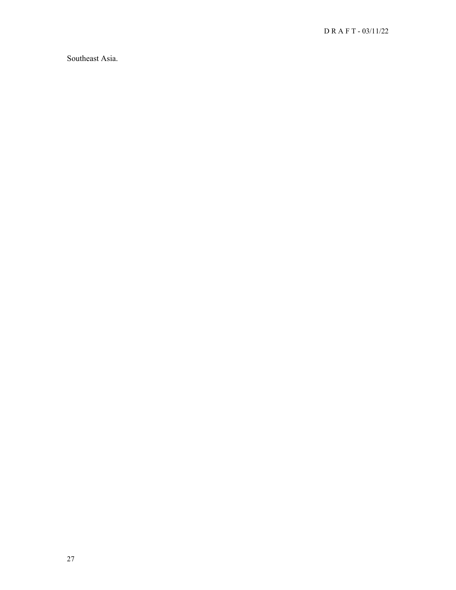Southeast Asia.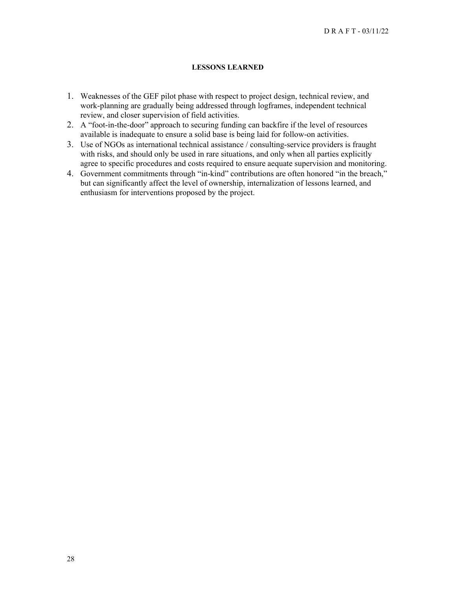#### **LESSONS LEARNED**

- 1. Weaknesses of the GEF pilot phase with respect to project design, technical review, and work-planning are gradually being addressed through logframes, independent technical review, and closer supervision of field activities.
- 2. A "foot-in-the-door" approach to securing funding can backfire if the level of resources available is inadequate to ensure a solid base is being laid for follow-on activities.
- 3. Use of NGOs as international technical assistance / consulting-service providers is fraught with risks, and should only be used in rare situations, and only when all parties explicitly agree to specific procedures and costs required to ensure aequate supervision and monitoring.
- 4. Government commitments through "in-kind" contributions are often honored "in the breach," but can significantly affect the level of ownership, internalization of lessons learned, and enthusiasm for interventions proposed by the project.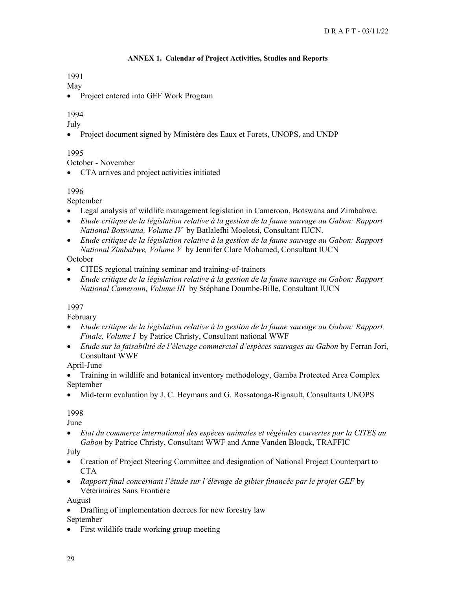## **ANNEX 1. Calendar of Project Activities, Studies and Reports**

1991

May

• Project entered into GEF Work Program

## 1994

July

• Project document signed by Ministère des Eaux et Forets, UNOPS, and UNDP

## 1995

October - November

• CTA arrives and project activities initiated

## 1996

September

- Legal analysis of wildlife management legislation in Cameroon, Botswana and Zimbabwe.
- *Etude critique de la législation relative à la gestion de la faune sauvage au Gabon: Rapport National Botswana, Volume IV* by Batlalefhi Moeletsi, Consultant IUCN.
- *Etude critique de la législation relative à la gestion de la faune sauvage au Gabon: Rapport National Zimbabwe, Volume V* by Jennifer Clare Mohamed, Consultant IUCN

## October

- CITES regional training seminar and training-of-trainers
- *Etude critique de la législation relative à la gestion de la faune sauvage au Gabon: Rapport National Cameroun, Volume III* by Stéphane Doumbe-Bille, Consultant IUCN

## 1997

February

- *Etude critique de la législation relative à la gestion de la faune sauvage au Gabon: Rapport Finale, Volume I* by Patrice Christy, Consultant national WWF
- *Etude sur la faisabilité de l'élevage commercial d'espèces sauvages au Gabon* by Ferran Jori, Consultant WWF

April-June

- Training in wildlife and botanical inventory methodology, Gamba Protected Area Complex September
- Mid-term evaluation by J. C. Heymans and G. Rossatonga-Rignault, Consultants UNOPS

## 1998

June

• *Etat du commerce international des espèces animales et végétales couvertes par la CITES au Gabon* by Patrice Christy, Consultant WWF and Anne Vanden Bloock, TRAFFIC

July

- Creation of Project Steering Committee and designation of National Project Counterpart to CTA
- *Rapport final concernant l'étude sur l'élevage de gibier financée par le projet GEF* by Vétérinaires Sans Frontière

August

• Drafting of implementation decrees for new forestry law

September

• First wildlife trade working group meeting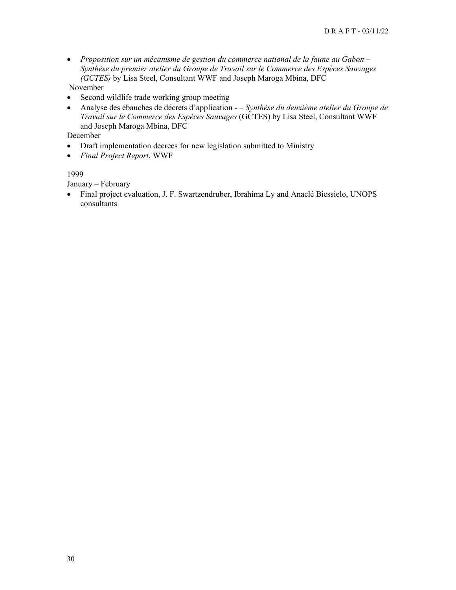- *Proposition sur un mécanisme de gestion du commerce national de la faune au Gabon Synthèse du premier atelier du Groupe de Travail sur le Commerce des Espèces Sauvages (GCTES)* by Lisa Steel, Consultant WWF and Joseph Maroga Mbina, DFC November
- Second wildlife trade working group meeting
- Analyse des ébauches de décrets d'application  *Synthèse du deuxième atelier du Groupe de Travail sur le Commerce des Espèces Sauvages* (GCTES) by Lisa Steel, Consultant WWF and Joseph Maroga Mbina, DFC

December

- Draft implementation decrees for new legislation submitted to Ministry
- *Final Project Report*, WWF

## 1999

January – February

• Final project evaluation, J. F. Swartzendruber, Ibrahima Ly and Anaclé Biessielo, UNOPS consultants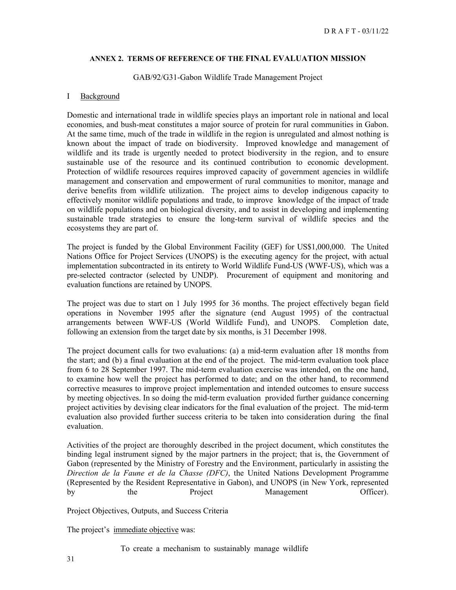#### **ANNEX 2. TERMS OF REFERENCE OF THE FINAL EVALUATION MISSION**

#### GAB/92/G31-Gabon Wildlife Trade Management Project

#### I Background

Domestic and international trade in wildlife species plays an important role in national and local economies, and bush-meat constitutes a major source of protein for rural communities in Gabon. At the same time, much of the trade in wildlife in the region is unregulated and almost nothing is known about the impact of trade on biodiversity. Improved knowledge and management of wildlife and its trade is urgently needed to protect biodiversity in the region, and to ensure sustainable use of the resource and its continued contribution to economic development. Protection of wildlife resources requires improved capacity of government agencies in wildlife management and conservation and empowerment of rural communities to monitor, manage and derive benefits from wildlife utilization. The project aims to develop indigenous capacity to effectively monitor wildlife populations and trade, to improve knowledge of the impact of trade on wildlife populations and on biological diversity, and to assist in developing and implementing sustainable trade strategies to ensure the long-term survival of wildlife species and the ecosystems they are part of.

The project is funded by the Global Environment Facility (GEF) for US\$1,000,000. The United Nations Office for Project Services (UNOPS) is the executing agency for the project, with actual implementation subcontracted in its entirety to World Wildlife Fund-US (WWF-US), which was a pre-selected contractor (selected by UNDP). Procurement of equipment and monitoring and evaluation functions are retained by UNOPS.

The project was due to start on 1 July 1995 for 36 months. The project effectively began field operations in November 1995 after the signature (end August 1995) of the contractual arrangements between WWF-US (World Wildlife Fund), and UNOPS. Completion date, following an extension from the target date by six months, is 31 December 1998.

The project document calls for two evaluations: (a) a mid-term evaluation after 18 months from the start; and (b) a final evaluation at the end of the project. The mid-term evaluation took place from 6 to 28 September 1997. The mid-term evaluation exercise was intended, on the one hand, to examine how well the project has performed to date; and on the other hand, to recommend corrective measures to improve project implementation and intended outcomes to ensure success by meeting objectives. In so doing the mid-term evaluation provided further guidance concerning project activities by devising clear indicators for the final evaluation of the project. The mid-term evaluation also provided further success criteria to be taken into consideration during the final evaluation.

Activities of the project are thoroughly described in the project document, which constitutes the binding legal instrument signed by the major partners in the project; that is, the Government of Gabon (represented by the Ministry of Forestry and the Environment, particularly in assisting the *Direction de la Faune et de la Chasse (DFC)*, the United Nations Development Programme (Represented by the Resident Representative in Gabon), and UNOPS (in New York, represented by the Project Management Officer).

Project Objectives, Outputs, and Success Criteria

The project's immediate objective was:

To create a mechanism to sustainably manage wildlife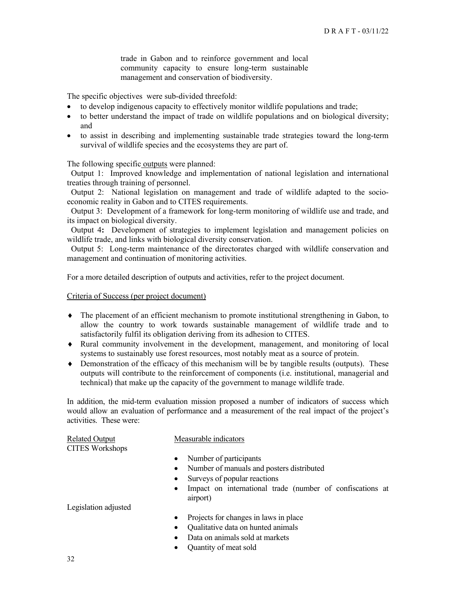trade in Gabon and to reinforce government and local community capacity to ensure long-term sustainable management and conservation of biodiversity.

The specific objectives were sub-divided threefold:

- to develop indigenous capacity to effectively monitor wildlife populations and trade;
- to better understand the impact of trade on wildlife populations and on biological diversity; and
- to assist in describing and implementing sustainable trade strategies toward the long-term survival of wildlife species and the ecosystems they are part of.

The following specific outputs were planned:

Output 1: Improved knowledge and implementation of national legislation and international treaties through training of personnel.

Output 2: National legislation on management and trade of wildlife adapted to the socioeconomic reality in Gabon and to CITES requirements.

Output 3: Development of a framework for long-term monitoring of wildlife use and trade, and its impact on biological diversity.

Output 4**:** Development of strategies to implement legislation and management policies on wildlife trade, and links with biological diversity conservation.

Output 5: Long-term maintenance of the directorates charged with wildlife conservation and management and continuation of monitoring activities.

For a more detailed description of outputs and activities, refer to the project document.

Criteria of Success (per project document)

- ♦ The placement of an efficient mechanism to promote institutional strengthening in Gabon, to allow the country to work towards sustainable management of wildlife trade and to satisfactorily fulfil its obligation deriving from its adhesion to CITES.
- ♦ Rural community involvement in the development, management, and monitoring of local systems to sustainably use forest resources, most notably meat as a source of protein.
- ♦ Demonstration of the efficacy of this mechanism will be by tangible results (outputs). These outputs will contribute to the reinforcement of components (i.e. institutional, managerial and technical) that make up the capacity of the government to manage wildlife trade.

In addition, the mid-term evaluation mission proposed a number of indicators of success which would allow an evaluation of performance and a measurement of the real impact of the project's activities. These were:

| <b>Related Output</b><br><b>CITES Workshops</b> | Measurable indicators                                                              |
|-------------------------------------------------|------------------------------------------------------------------------------------|
|                                                 | Number of participants                                                             |
|                                                 | Number of manuals and posters distributed                                          |
|                                                 | Surveys of popular reactions<br>$\bullet$                                          |
|                                                 | Impact on international trade (number of confiscations at<br>$\bullet$<br>airport) |
| Legislation adjusted                            |                                                                                    |
|                                                 | Projects for changes in laws in place                                              |
|                                                 | Qualitative data on hunted animals<br>$\bullet$                                    |
|                                                 | Data on animals sold at markets                                                    |
|                                                 | Quantity of meat sold                                                              |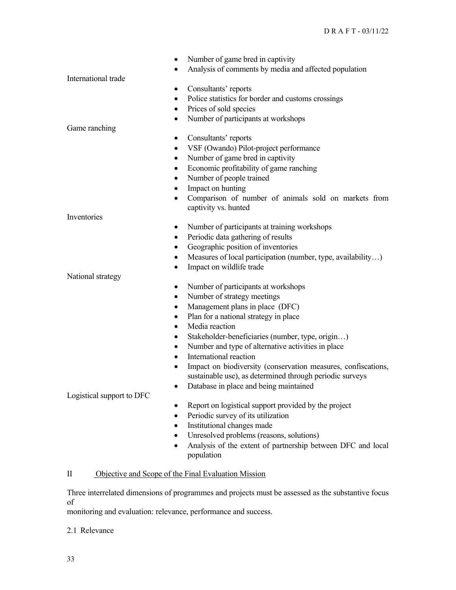| ٠                         | Number of game bred in captivity                                                         |
|---------------------------|------------------------------------------------------------------------------------------|
|                           | Analysis of comments by media and affected population                                    |
| International trade       |                                                                                          |
| ٠                         | Consultants' reports                                                                     |
| $\bullet$                 | Police statistics for border and customs crossings                                       |
| ٠                         | Prices of sold species                                                                   |
| $\bullet$                 | Number of participants at workshops                                                      |
| Game ranching             |                                                                                          |
| $\bullet$                 | Consultants' reports                                                                     |
| $\bullet$                 | VSF (Owando) Pilot-project performance                                                   |
| $\bullet$                 | Number of game bred in captivity                                                         |
| $\bullet$                 | Economic profitability of game ranching                                                  |
| ٠                         | Number of people trained                                                                 |
| ٠                         | Impact on hunting                                                                        |
| $\bullet$                 | Comparison of number of animals sold on markets from                                     |
|                           | captivity vs. hunted                                                                     |
| Inventories               |                                                                                          |
| ٠                         | Number of participants at training workshops                                             |
| $\bullet$                 | Periodic data gathering of results                                                       |
|                           | Geographic position of inventories                                                       |
| ٠                         | Measures of local participation (number, type, availability)<br>Impact on wildlife trade |
| ٠<br>National strategy    |                                                                                          |
| ٠                         | Number of participants at workshops                                                      |
| $\bullet$                 | Number of strategy meetings                                                              |
| ٠                         | Management plans in place (DFC)                                                          |
| $\bullet$                 | Plan for a national strategy in place                                                    |
| $\bullet$                 | Media reaction                                                                           |
| $\bullet$                 | Stakeholder-beneficiaries (number, type, origin)                                         |
| $\bullet$                 | Number and type of alternative activities in place                                       |
| $\bullet$                 | International reaction                                                                   |
| $\bullet$                 | Impact on biodiversity (conservation measures, confiscations,                            |
|                           | sustainable use), as determined through periodic surveys                                 |
|                           | Database in place and being maintained                                                   |
| Logistical support to DFC |                                                                                          |
| ٠                         | Report on logistical support provided by the project                                     |
|                           | Periodic survey of its utilization                                                       |
|                           | Institutional changes made                                                               |
|                           | Unresolved problems (reasons, solutions)                                                 |
| ٠                         | Analysis of the extent of partnership between DFC and local                              |
|                           | population                                                                               |
|                           |                                                                                          |

# II Objective and Scope of the Final Evaluation Mission

Three interrelated dimensions of programmes and projects must be assessed as the substantive focus of

monitoring and evaluation: relevance, performance and success.

2.1 Relevance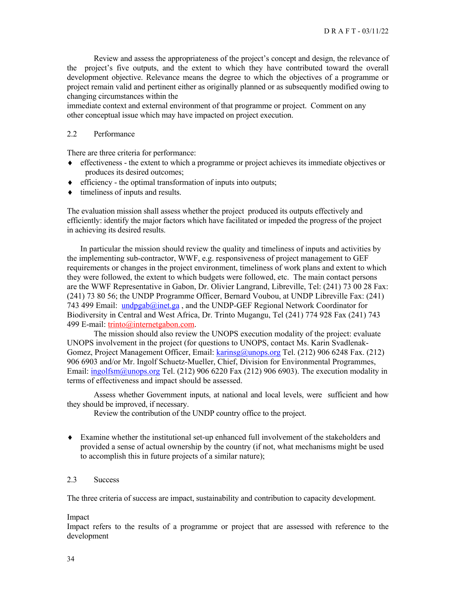Review and assess the appropriateness of the project's concept and design, the relevance of the project's five outputs, and the extent to which they have contributed toward the overall development objective. Relevance means the degree to which the objectives of a programme or project remain valid and pertinent either as originally planned or as subsequently modified owing to changing circumstances within the

immediate context and external environment of that programme or project. Comment on any other conceptual issue which may have impacted on project execution.

#### 2.2 Performance

There are three criteria for performance:

- ♦ effectiveness the extent to which a programme or project achieves its immediate objectives or produces its desired outcomes;
- ♦ efficiency the optimal transformation of inputs into outputs;
- ♦ timeliness of inputs and results.

The evaluation mission shall assess whether the project produced its outputs effectively and efficiently: identify the major factors which have facilitated or impeded the progress of the project in achieving its desired results.

In particular the mission should review the quality and timeliness of inputs and activities by the implementing sub-contractor, WWF, e.g. responsiveness of project management to GEF requirements or changes in the project environment, timeliness of work plans and extent to which they were followed, the extent to which budgets were followed, etc. The main contact persons are the WWF Representative in Gabon, Dr. Olivier Langrand, Libreville, Tel: (241) 73 00 28 Fax: (241) 73 80 56; the UNDP Programme Officer, Bernard Voubou, at UNDP Libreville Fax: (241) 743 499 Email:  $undpgab@inet.ga$  $undpgab@inet.ga$  $undpgab@inet.ga$ , and the UNDP-GEF Regional Network Coordinator for</u> Biodiversity in Central and West Africa, Dr. Trinto Mugangu, Tel (241) 774 928 Fax (241) 743 499 E-mail: trinto@internetgabon.com.

The mission should also review the UNOPS execution modality of the project: evaluate UNOPS involvement in the project (for questions to UNOPS, contact Ms. Karin SvadlenakGomez, Project Management Officer, Email: [karinsg@unops.org](mailto:karinsg@unops.org) Tel. (212) 906 6248 Fax. (212) 906 6903 and/or Mr. Ingolf Schuetz-Mueller, Chief, Division for Environmental Programmes, Email:  $ingolfs m@unops.org$  Tel. (212) 906 6220 Fax (212) 906 6903). The execution modality in terms of effectiveness and impact should be assessed.

 Assess whether Government inputs, at national and local levels, were sufficient and how they should be improved, if necessary.

Review the contribution of the UNDP country office to the project.

♦ Examine whether the institutional set-up enhanced full involvement of the stakeholders and provided a sense of actual ownership by the country (if not, what mechanisms might be used to accomplish this in future projects of a similar nature);

## 2.3 Success

The three criteria of success are impact, sustainability and contribution to capacity development.

#### Impact

Impact refers to the results of a programme or project that are assessed with reference to the development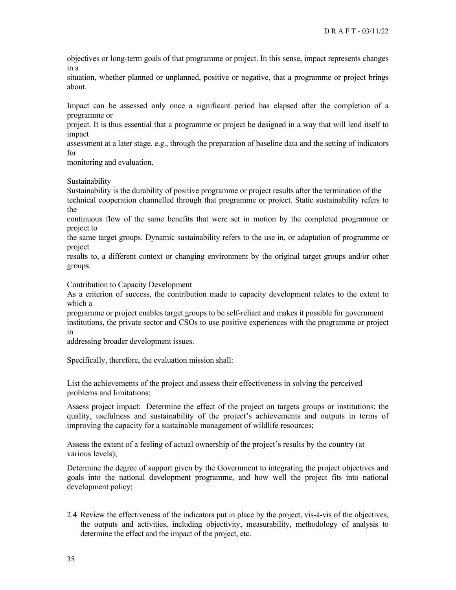objectives or long-term goals of that programme or project. In this sense, impact represents changes in a

situation, whether planned or unplanned, positive or negative, that a programme or project brings about.

Impact can be assessed only once a significant period has elapsed after the completion of a programme or

project. It is thus essential that a programme or project be designed in a way that will lend itself to impact

assessment at a later stage, e.g., through the preparation of baseline data and the setting of indicators for

monitoring and evaluation.

Sustainability

Sustainability is the durability of positive programme or project results after the termination of the technical cooperation channelled through that programme or project. Static sustainability refers to the

continuous flow of the same benefits that were set in motion by the completed programme or project to

the same target groups. Dynamic sustainability refers to the use in, or adaptation of programme or project

results to, a different context or changing environment by the original target groups and/or other groups.

Contribution to Capacity Development

As a criterion of success, the contribution made to capacity development relates to the extent to which a

programme or project enables target groups to be self-reliant and makes it possible for government institutions, the private sector and CSOs to use positive experiences with the programme or project in

addressing broader development issues.

Specifically, therefore, the evaluation mission shall:

List the achievements of the project and assess their effectiveness in solving the perceived problems and limitations;

Assess project impact: Determine the effect of the project on targets groups or institutions: the quality, usefulness and sustainability of the project's achievements and outputs in terms of improving the capacity for a sustainable management of wildlife resources;

Assess the extent of a feeling of actual ownership of the project's results by the country (at various levels);

Determine the degree of support given by the Government to integrating the project objectives and goals into the national development programme, and how well the project fits into national development policy;

2.4 Review the effectiveness of the indicators put in place by the project, vis-à-vis of the objectives, the outputs and activities, including objectivity, measurability, methodology of analysis to determine the effect and the impact of the project, etc.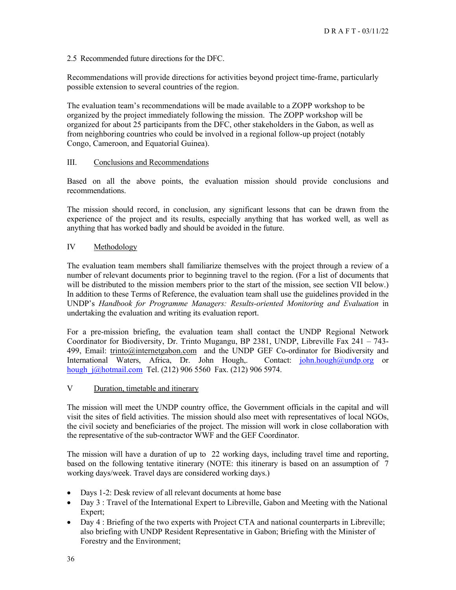2.5 Recommended future directions for the DFC.

Recommendations will provide directions for activities beyond project time-frame, particularly possible extension to several countries of the region.

The evaluation team's recommendations will be made available to a ZOPP workshop to be organized by the project immediately following the mission. The ZOPP workshop will be organized for about 25 participants from the DFC, other stakeholders in the Gabon, as well as from neighboring countries who could be involved in a regional follow-up project (notably Congo, Cameroon, and Equatorial Guinea).

## III. Conclusions and Recommendations

Based on all the above points, the evaluation mission should provide conclusions and recommendations.

The mission should record, in conclusion, any significant lessons that can be drawn from the experience of the project and its results, especially anything that has worked well, as well as anything that has worked badly and should be avoided in the future.

#### IV Methodology

The evaluation team members shall familiarize themselves with the project through a review of a number of relevant documents prior to beginning travel to the region. (For a list of documents that will be distributed to the mission members prior to the start of the mission, see section VII below.) In addition to these Terms of Reference, the evaluation team shall use the guidelines provided in the UNDP's *Handbook for Programme Managers: Results-oriented Monitoring and Evaluation* in undertaking the evaluation and writing its evaluation report.

For a pre-mission briefing, the evaluation team shall contact the UNDP Regional Network Coordinator for Biodiversity, Dr. Trinto Mugangu, BP 2381, UNDP, Libreville Fax 241 – 743- 499, Email: trinto@internetgabon.com and the UNDP GEF Co-ordinator for Biodiversity and International Waters, Africa, Dr. John Hough,. Contact: [john.hough@undp.org](mailto:john.hough@undp.org) or hough j@hotmail.com Tel. (212) 906 5560 Fax. (212) 906 5974.

#### V Duration, timetable and itinerary

The mission will meet the UNDP country office, the Government officials in the capital and will visit the sites of field activities. The mission should also meet with representatives of local NGOs, the civil society and beneficiaries of the project. The mission will work in close collaboration with the representative of the sub-contractor WWF and the GEF Coordinator.

The mission will have a duration of up to 22 working days, including travel time and reporting, based on the following tentative itinerary (NOTE: this itinerary is based on an assumption of 7 working days/week. Travel days are considered working days.)

- Days 1-2: Desk review of all relevant documents at home base
- Day 3 : Travel of the International Expert to Libreville, Gabon and Meeting with the National Expert;
- Day 4 : Briefing of the two experts with Project CTA and national counterparts in Libreville; also briefing with UNDP Resident Representative in Gabon; Briefing with the Minister of Forestry and the Environment;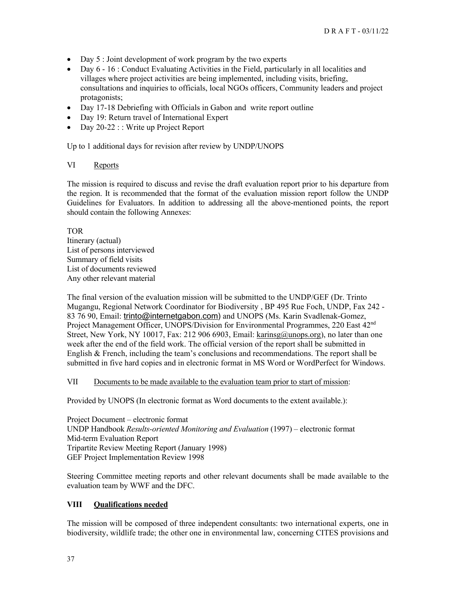- Day 5 : Joint development of work program by the two experts
- Day 6 16 : Conduct Evaluating Activities in the Field, particularly in all localities and villages where project activities are being implemented, including visits, briefing, consultations and inquiries to officials, local NGOs officers, Community leaders and project protagonists;
- Day 17-18 Debriefing with Officials in Gabon and write report outline
- Day 19: Return travel of International Expert
- Day 20-22 : : Write up Project Report

Up to 1 additional days for revision after review by UNDP/UNOPS

## VI Reports

The mission is required to discuss and revise the draft evaluation report prior to his departure from the region. It is recommended that the format of the evaluation mission report follow the UNDP Guidelines for Evaluators. In addition to addressing all the above-mentioned points, the report should contain the following Annexes:

TOR

Itinerary (actual) List of persons interviewed Summary of field visits List of documents reviewed Any other relevant material

The final version of the evaluation mission will be submitted to the UNDP/GEF (Dr. Trinto Mugangu, Regional Network Coordinator for Biodiversity , BP 495 Rue Foch, UNDP, Fax 242 - 83 76 90, Email: trinto@internetgabon.com) and UNOPS (Ms. Karin Svadlenak-Gomez, Project Management Officer, UNOPS/Division for Environmental Programmes, 220 East 42<sup>nd</sup> Street, New York, NY 10017, Fax: 212 906 6903, Email:  $karinsg(a)$ unops.org), no later than one week after the end of the field work. The official version of the report shall be submitted in English & French, including the team's conclusions and recommendations. The report shall be submitted in five hard copies and in electronic format in MS Word or WordPerfect for Windows.

## VII Documents to be made available to the evaluation team prior to start of mission:

Provided by UNOPS (In electronic format as Word documents to the extent available.):

Project Document – electronic format UNDP Handbook *Results-oriented Monitoring and Evaluation* (1997) – electronic format Mid-term Evaluation Report Tripartite Review Meeting Report (January 1998) GEF Project Implementation Review 1998

Steering Committee meeting reports and other relevant documents shall be made available to the evaluation team by WWF and the DFC.

## **VIII Qualifications needed**

The mission will be composed of three independent consultants: two international experts, one in biodiversity, wildlife trade; the other one in environmental law, concerning CITES provisions and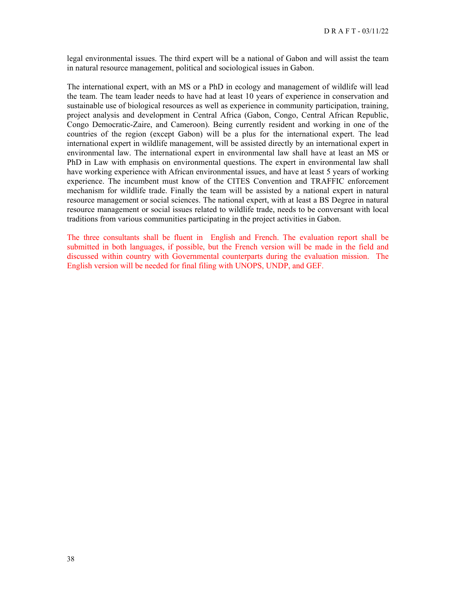legal environmental issues. The third expert will be a national of Gabon and will assist the team in natural resource management, political and sociological issues in Gabon.

The international expert, with an MS or a PhD in ecology and management of wildlife will lead the team. The team leader needs to have had at least 10 years of experience in conservation and sustainable use of biological resources as well as experience in community participation, training, project analysis and development in Central Africa (Gabon, Congo, Central African Republic, Congo Democratic-Zaire, and Cameroon). Being currently resident and working in one of the countries of the region (except Gabon) will be a plus for the international expert. The lead international expert in wildlife management, will be assisted directly by an international expert in environmental law. The international expert in environmental law shall have at least an MS or PhD in Law with emphasis on environmental questions. The expert in environmental law shall have working experience with African environmental issues, and have at least 5 years of working experience. The incumbent must know of the CITES Convention and TRAFFIC enforcement mechanism for wildlife trade. Finally the team will be assisted by a national expert in natural resource management or social sciences. The national expert, with at least a BS Degree in natural resource management or social issues related to wildlife trade, needs to be conversant with local traditions from various communities participating in the project activities in Gabon.

The three consultants shall be fluent in English and French. The evaluation report shall be submitted in both languages, if possible, but the French version will be made in the field and discussed within country with Governmental counterparts during the evaluation mission. The English version will be needed for final filing with UNOPS, UNDP, and GEF.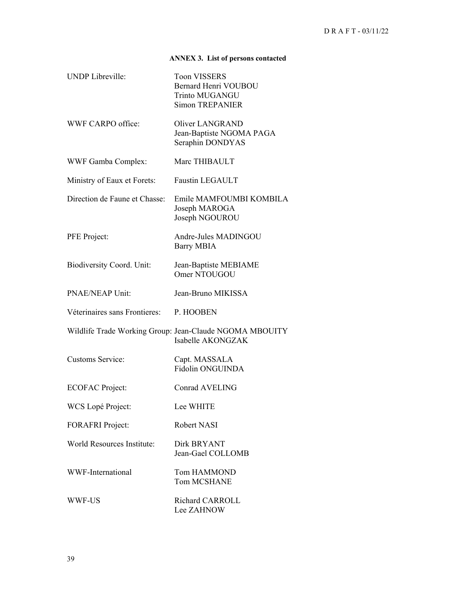# **ANNEX 3. List of persons contacted**

| <b>UNDP</b> Libreville:          | <b>Toon VISSERS</b><br>Bernard Henri VOUBOU<br><b>Trinto MUGANGU</b><br><b>Simon TREPANIER</b> |
|----------------------------------|------------------------------------------------------------------------------------------------|
| WWF CARPO office:                | <b>Oliver LANGRAND</b><br>Jean-Baptiste NGOMA PAGA<br>Seraphin DONDYAS                         |
| <b>WWF Gamba Complex:</b>        | Marc THIBAULT                                                                                  |
| Ministry of Eaux et Forets:      | <b>Faustin LEGAULT</b>                                                                         |
| Direction de Faune et Chasse:    | Emile MAMFOUMBI KOMBILA<br>Joseph MAROGA<br>Joseph NGOUROU                                     |
| PFE Project:                     | Andre-Jules MADINGOU<br><b>Barry MBIA</b>                                                      |
| <b>Biodiversity Coord. Unit:</b> | Jean-Baptiste MEBIAME<br>Omer NTOUGOU                                                          |
| <b>PNAE/NEAP Unit:</b>           | Jean-Bruno MIKISSA                                                                             |
| Véterinaires sans Frontieres:    | P. HOOBEN                                                                                      |
|                                  | Wildlife Trade Working Group: Jean-Claude NGOMA MBOUITY<br>Isabelle AKONGZAK                   |
| Customs Service:                 | Capt. MASSALA<br>Fidolin ONGUINDA                                                              |
| <b>ECOFAC Project:</b>           | <b>Conrad AVELING</b>                                                                          |
| WCS Lopé Project:                | Lee WHITE                                                                                      |
| <b>FORAFRI</b> Project:          | Robert NASI                                                                                    |
| World Resources Institute:       | Dirk BRYANT<br>Jean-Gael COLLOMB                                                               |
| WWF-International                | <b>Tom HAMMOND</b><br><b>Tom MCSHANE</b>                                                       |
| WWF-US                           | Richard CARROLL<br>Lee ZAHNOW                                                                  |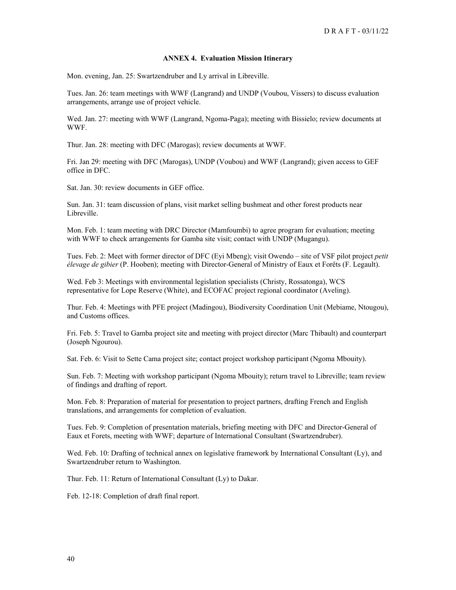#### **ANNEX 4. Evaluation Mission Itinerary**

Mon. evening, Jan. 25: Swartzendruber and Ly arrival in Libreville.

Tues. Jan. 26: team meetings with WWF (Langrand) and UNDP (Voubou, Vissers) to discuss evaluation arrangements, arrange use of project vehicle.

Wed. Jan. 27: meeting with WWF (Langrand, Ngoma-Paga); meeting with Bissielo; review documents at WWF.

Thur. Jan. 28: meeting with DFC (Marogas); review documents at WWF.

Fri. Jan 29: meeting with DFC (Marogas), UNDP (Voubou) and WWF (Langrand); given access to GEF office in DFC.

Sat. Jan. 30: review documents in GEF office.

Sun. Jan. 31: team discussion of plans, visit market selling bushmeat and other forest products near Libreville.

Mon. Feb. 1: team meeting with DRC Director (Mamfoumbi) to agree program for evaluation; meeting with WWF to check arrangements for Gamba site visit; contact with UNDP (Mugangu).

Tues. Feb. 2: Meet with former director of DFC (Eyi Mbeng); visit Owendo – site of VSF pilot project *petit élevage de gibier* (P. Hooben); meeting with Director-General of Ministry of Eaux et Forêts (F. Legault).

Wed. Feb 3: Meetings with environmental legislation specialists (Christy, Rossatonga), WCS representative for Lope Reserve (White), and ECOFAC project regional coordinator (Aveling).

Thur. Feb. 4: Meetings with PFE project (Madingou), Biodiversity Coordination Unit (Mebiame, Ntougou), and Customs offices.

Fri. Feb. 5: Travel to Gamba project site and meeting with project director (Marc Thibault) and counterpart (Joseph Ngourou).

Sat. Feb. 6: Visit to Sette Cama project site; contact project workshop participant (Ngoma Mbouity).

Sun. Feb. 7: Meeting with workshop participant (Ngoma Mbouity); return travel to Libreville; team review of findings and drafting of report.

Mon. Feb. 8: Preparation of material for presentation to project partners, drafting French and English translations, and arrangements for completion of evaluation.

Tues. Feb. 9: Completion of presentation materials, briefing meeting with DFC and Director-General of Eaux et Forets, meeting with WWF; departure of International Consultant (Swartzendruber).

Wed. Feb. 10: Drafting of technical annex on legislative framework by International Consultant (Ly), and Swartzendruber return to Washington.

Thur. Feb. 11: Return of International Consultant (Ly) to Dakar.

Feb. 12-18: Completion of draft final report.